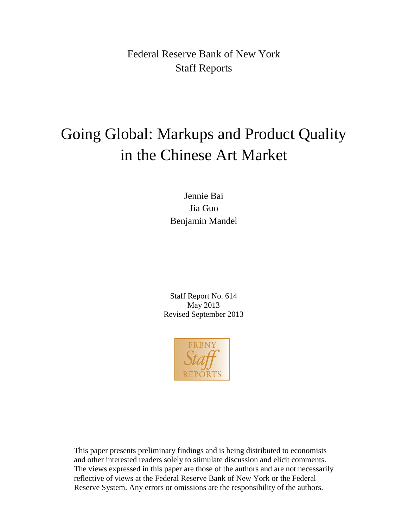Federal Reserve Bank of New York Staff Reports

# Going Global: Markups and Product Quality in the Chinese Art Market

Jennie Bai Jia Guo Benjamin Mandel

Staff Report No. 614 May 2013 Revised September 2013



This paper presents preliminary findings and is being distributed to economists and other interested readers solely to stimulate discussion and elicit comments. The views expressed in this paper are those of the authors and are not necessarily reflective of views at the Federal Reserve Bank of New York or the Federal Reserve System. Any errors or omissions are the responsibility of the authors.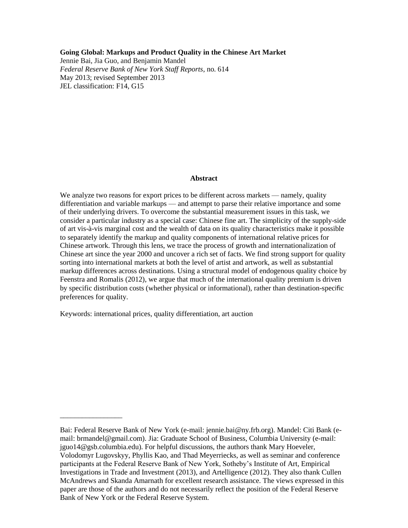#### **Going Global: Markups and Product Quality in the Chinese Art Market**

Jennie Bai, Jia Guo, and Benjamin Mandel *Federal Reserve Bank of New York Staff Reports*, no. 614 May 2013; revised September 2013 JEL classification: F14, G15

#### **Abstract**

We analyze two reasons for export prices to be different across markets — namely, quality differentiation and variable markups — and attempt to parse their relative importance and some of their underlying drivers. To overcome the substantial measurement issues in this task, we consider a particular industry as a special case: Chinese fine art. The simplicity of the supply-side of art vis-à-vis marginal cost and the wealth of data on its quality characteristics make it possible to separately identify the markup and quality components of international relative prices for Chinese artwork. Through this lens, we trace the process of growth and internationalization of Chinese art since the year 2000 and uncover a rich set of facts. We find strong support for quality sorting into international markets at both the level of artist and artwork, as well as substantial markup differences across destinations. Using a structural model of endogenous quality choice by Feenstra and Romalis (2012), we argue that much of the international quality premium is driven by specific distribution costs (whether physical or informational), rather than destination-specific preferences for quality.

Keywords: international prices, quality differentiation, art auction

\_\_\_\_\_\_\_\_\_\_\_\_\_\_\_\_\_

Bai: Federal Reserve Bank of New York (e-mail: jennie.bai@ny.frb.org). Mandel: Citi Bank (email: brmandel@gmail.com). Jia: Graduate School of Business, Columbia University (e-mail: jguo14@gsb.columbia.edu). For helpful discussions, the authors thank Mary Hoeveler, Volodomyr Lugovskyy, Phyllis Kao, and Thad Meyerriecks, as well as seminar and conference participants at the Federal Reserve Bank of New York, Sotheby's Institute of Art, Empirical Investigations in Trade and Investment (2013), and Artelligence (2012). They also thank Cullen McAndrews and Skanda Amarnath for excellent research assistance. The views expressed in this paper are those of the authors and do not necessarily reflect the position of the Federal Reserve Bank of New York or the Federal Reserve System.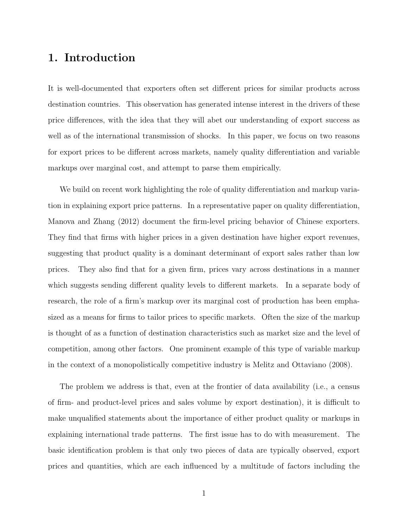# 1. Introduction

It is well-documented that exporters often set different prices for similar products across destination countries. This observation has generated intense interest in the drivers of these price differences, with the idea that they will abet our understanding of export success as well as of the international transmission of shocks. In this paper, we focus on two reasons for export prices to be different across markets, namely quality differentiation and variable markups over marginal cost, and attempt to parse them empirically.

We build on recent work highlighting the role of quality differentiation and markup variation in explaining export price patterns. In a representative paper on quality differentiation, Manova and Zhang (2012) document the firm-level pricing behavior of Chinese exporters. They find that firms with higher prices in a given destination have higher export revenues, suggesting that product quality is a dominant determinant of export sales rather than low prices. They also find that for a given firm, prices vary across destinations in a manner which suggests sending different quality levels to different markets. In a separate body of research, the role of a firm's markup over its marginal cost of production has been emphasized as a means for firms to tailor prices to specific markets. Often the size of the markup is thought of as a function of destination characteristics such as market size and the level of competition, among other factors. One prominent example of this type of variable markup in the context of a monopolistically competitive industry is Melitz and Ottaviano (2008).

The problem we address is that, even at the frontier of data availability (i.e., a census of firm- and product-level prices and sales volume by export destination), it is difficult to make unqualified statements about the importance of either product quality or markups in explaining international trade patterns. The first issue has to do with measurement. The basic identification problem is that only two pieces of data are typically observed, export prices and quantities, which are each influenced by a multitude of factors including the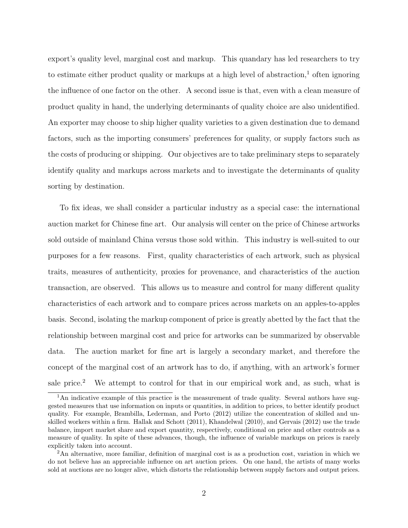export's quality level, marginal cost and markup. This quandary has led researchers to try to estimate either product quality or markups at a high level of abstraction,<sup>1</sup> often ignoring the influence of one factor on the other. A second issue is that, even with a clean measure of product quality in hand, the underlying determinants of quality choice are also unidentified. An exporter may choose to ship higher quality varieties to a given destination due to demand factors, such as the importing consumers' preferences for quality, or supply factors such as the costs of producing or shipping. Our objectives are to take preliminary steps to separately identify quality and markups across markets and to investigate the determinants of quality sorting by destination.

To fix ideas, we shall consider a particular industry as a special case: the international auction market for Chinese fine art. Our analysis will center on the price of Chinese artworks sold outside of mainland China versus those sold within. This industry is well-suited to our purposes for a few reasons. First, quality characteristics of each artwork, such as physical traits, measures of authenticity, proxies for provenance, and characteristics of the auction transaction, are observed. This allows us to measure and control for many different quality characteristics of each artwork and to compare prices across markets on an apples-to-apples basis. Second, isolating the markup component of price is greatly abetted by the fact that the relationship between marginal cost and price for artworks can be summarized by observable data. The auction market for fine art is largely a secondary market, and therefore the concept of the marginal cost of an artwork has to do, if anything, with an artwork's former sale price.<sup>2</sup> We attempt to control for that in our empirical work and, as such, what is

<sup>&</sup>lt;sup>1</sup>An indicative example of this practice is the measurement of trade quality. Several authors have suggested measures that use information on inputs or quantities, in addition to prices, to better identify product quality. For example, Brambilla, Lederman, and Porto (2012) utilize the concentration of skilled and unskilled workers within a firm. Hallak and Schott (2011), Khandelwal (2010), and Gervais (2012) use the trade balance, import market share and export quantity, respectively, conditional on price and other controls as a measure of quality. In spite of these advances, though, the influence of variable markups on prices is rarely explicitly taken into account.

<sup>&</sup>lt;sup>2</sup>An alternative, more familiar, definition of marginal cost is as a production cost, variation in which we do not believe has an appreciable influence on art auction prices. On one hand, the artists of many works sold at auctions are no longer alive, which distorts the relationship between supply factors and output prices.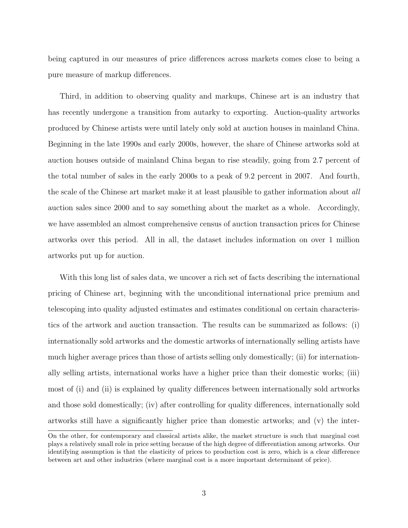being captured in our measures of price differences across markets comes close to being a pure measure of markup differences.

Third, in addition to observing quality and markups, Chinese art is an industry that has recently undergone a transition from autarky to exporting. Auction-quality artworks produced by Chinese artists were until lately only sold at auction houses in mainland China. Beginning in the late 1990s and early 2000s, however, the share of Chinese artworks sold at auction houses outside of mainland China began to rise steadily, going from 2.7 percent of the total number of sales in the early 2000s to a peak of 9.2 percent in 2007. And fourth, the scale of the Chinese art market make it at least plausible to gather information about all auction sales since 2000 and to say something about the market as a whole. Accordingly, we have assembled an almost comprehensive census of auction transaction prices for Chinese artworks over this period. All in all, the dataset includes information on over 1 million artworks put up for auction.

With this long list of sales data, we uncover a rich set of facts describing the international pricing of Chinese art, beginning with the unconditional international price premium and telescoping into quality adjusted estimates and estimates conditional on certain characteristics of the artwork and auction transaction. The results can be summarized as follows: (i) internationally sold artworks and the domestic artworks of internationally selling artists have much higher average prices than those of artists selling only domestically; (ii) for internationally selling artists, international works have a higher price than their domestic works; (iii) most of (i) and (ii) is explained by quality differences between internationally sold artworks and those sold domestically; (iv) after controlling for quality differences, internationally sold artworks still have a significantly higher price than domestic artworks; and (v) the inter-

On the other, for contemporary and classical artists alike, the market structure is such that marginal cost plays a relatively small role in price setting because of the high degree of differentiation among artworks. Our identifying assumption is that the elasticity of prices to production cost is zero, which is a clear difference between art and other industries (where marginal cost is a more important determinant of price).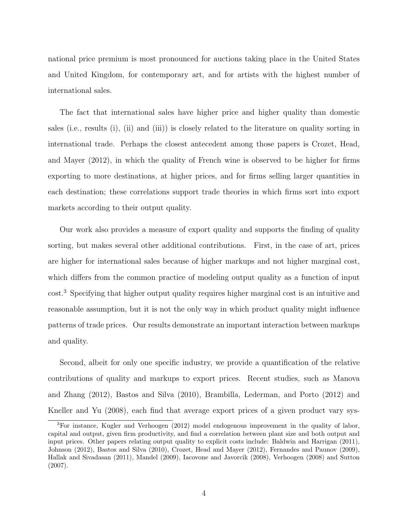national price premium is most pronounced for auctions taking place in the United States and United Kingdom, for contemporary art, and for artists with the highest number of international sales.

The fact that international sales have higher price and higher quality than domestic sales (i.e., results (i), (ii) and (iii)) is closely related to the literature on quality sorting in international trade. Perhaps the closest antecedent among those papers is Crozet, Head, and Mayer (2012), in which the quality of French wine is observed to be higher for firms exporting to more destinations, at higher prices, and for firms selling larger quantities in each destination; these correlations support trade theories in which firms sort into export markets according to their output quality.

Our work also provides a measure of export quality and supports the finding of quality sorting, but makes several other additional contributions. First, in the case of art, prices are higher for international sales because of higher markups and not higher marginal cost, which differs from the common practice of modeling output quality as a function of input cost.<sup>3</sup> Specifying that higher output quality requires higher marginal cost is an intuitive and reasonable assumption, but it is not the only way in which product quality might influence patterns of trade prices. Our results demonstrate an important interaction between markups and quality.

Second, albeit for only one specific industry, we provide a quantification of the relative contributions of quality and markups to export prices. Recent studies, such as Manova and Zhang (2012), Bastos and Silva (2010), Brambilla, Lederman, and Porto (2012) and Kneller and Yu (2008), each find that average export prices of a given product vary sys-

<sup>3</sup>For instance, Kugler and Verhoogen (2012) model endogenous improvement in the quality of labor, capital and output, given firm productivity, and find a correlation between plant size and both output and input prices. Other papers relating output quality to explicit costs include: Baldwin and Harrigan (2011), Johnson (2012), Bastos and Silva (2010), Crozet, Head and Mayer (2012), Fernandes and Paunov (2009), Hallak and Sivadasan (2011), Mandel (2009), Iacovone and Javorcik (2008), Verhoogen (2008) and Sutton (2007).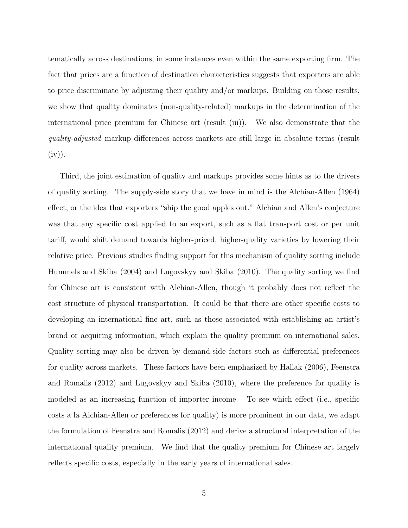tematically across destinations, in some instances even within the same exporting firm. The fact that prices are a function of destination characteristics suggests that exporters are able to price discriminate by adjusting their quality and/or markups. Building on those results, we show that quality dominates (non-quality-related) markups in the determination of the international price premium for Chinese art (result (iii)). We also demonstrate that the quality-adjusted markup differences across markets are still large in absolute terms (result  $(iv)$ ).

Third, the joint estimation of quality and markups provides some hints as to the drivers of quality sorting. The supply-side story that we have in mind is the Alchian-Allen (1964) effect, or the idea that exporters "ship the good apples out." Alchian and Allen's conjecture was that any specific cost applied to an export, such as a flat transport cost or per unit tariff, would shift demand towards higher-priced, higher-quality varieties by lowering their relative price. Previous studies finding support for this mechanism of quality sorting include Hummels and Skiba (2004) and Lugovskyy and Skiba (2010). The quality sorting we find for Chinese art is consistent with Alchian-Allen, though it probably does not reflect the cost structure of physical transportation. It could be that there are other specific costs to developing an international fine art, such as those associated with establishing an artist's brand or acquiring information, which explain the quality premium on international sales. Quality sorting may also be driven by demand-side factors such as differential preferences for quality across markets. These factors have been emphasized by Hallak (2006), Feenstra and Romalis (2012) and Lugovskyy and Skiba (2010), where the preference for quality is modeled as an increasing function of importer income. To see which effect (i.e., specific costs a la Alchian-Allen or preferences for quality) is more prominent in our data, we adapt the formulation of Feenstra and Romalis (2012) and derive a structural interpretation of the international quality premium. We find that the quality premium for Chinese art largely reflects specific costs, especially in the early years of international sales.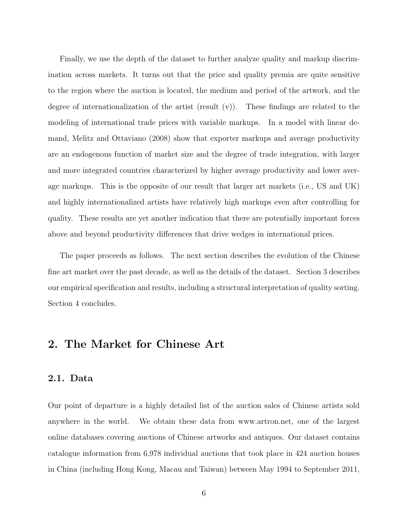Finally, we use the depth of the dataset to further analyze quality and markup discrimination across markets. It turns out that the price and quality premia are quite sensitive to the region where the auction is located, the medium and period of the artwork, and the degree of internationalization of the artist (result  $(v)$ ). These findings are related to the modeling of international trade prices with variable markups. In a model with linear demand, Melitz and Ottaviano (2008) show that exporter markups and average productivity are an endogenous function of market size and the degree of trade integration, with larger and more integrated countries characterized by higher average productivity and lower average markups. This is the opposite of our result that larger art markets (i.e., US and UK) and highly internationalized artists have relatively high markups even after controlling for quality. These results are yet another indication that there are potentially important forces above and beyond productivity differences that drive wedges in international prices.

The paper proceeds as follows. The next section describes the evolution of the Chinese fine art market over the past decade, as well as the details of the dataset. Section 3 describes our empirical specification and results, including a structural interpretation of quality sorting. Section 4 concludes.

## 2. The Market for Chinese Art

#### 2.1. Data

Our point of departure is a highly detailed list of the auction sales of Chinese artists sold anywhere in the world. We obtain these data from www.artron.net, one of the largest online databases covering auctions of Chinese artworks and antiques. Our dataset contains catalogue information from 6,978 individual auctions that took place in 424 auction houses in China (including Hong Kong, Macau and Taiwan) between May 1994 to September 2011,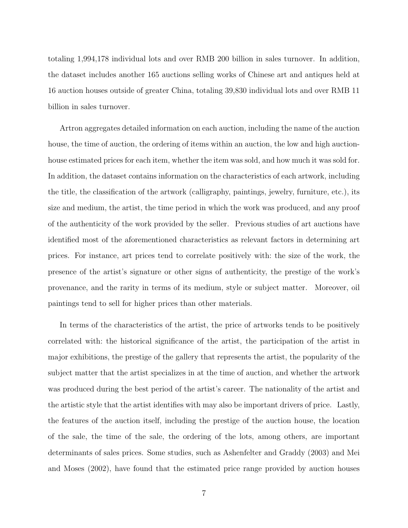totaling 1,994,178 individual lots and over RMB 200 billion in sales turnover. In addition, the dataset includes another 165 auctions selling works of Chinese art and antiques held at 16 auction houses outside of greater China, totaling 39,830 individual lots and over RMB 11 billion in sales turnover.

Artron aggregates detailed information on each auction, including the name of the auction house, the time of auction, the ordering of items within an auction, the low and high auctionhouse estimated prices for each item, whether the item was sold, and how much it was sold for. In addition, the dataset contains information on the characteristics of each artwork, including the title, the classification of the artwork (calligraphy, paintings, jewelry, furniture, etc.), its size and medium, the artist, the time period in which the work was produced, and any proof of the authenticity of the work provided by the seller. Previous studies of art auctions have identified most of the aforementioned characteristics as relevant factors in determining art prices. For instance, art prices tend to correlate positively with: the size of the work, the presence of the artist's signature or other signs of authenticity, the prestige of the work's provenance, and the rarity in terms of its medium, style or subject matter. Moreover, oil paintings tend to sell for higher prices than other materials.

In terms of the characteristics of the artist, the price of artworks tends to be positively correlated with: the historical significance of the artist, the participation of the artist in major exhibitions, the prestige of the gallery that represents the artist, the popularity of the subject matter that the artist specializes in at the time of auction, and whether the artwork was produced during the best period of the artist's career. The nationality of the artist and the artistic style that the artist identifies with may also be important drivers of price. Lastly, the features of the auction itself, including the prestige of the auction house, the location of the sale, the time of the sale, the ordering of the lots, among others, are important determinants of sales prices. Some studies, such as Ashenfelter and Graddy (2003) and Mei and Moses (2002), have found that the estimated price range provided by auction houses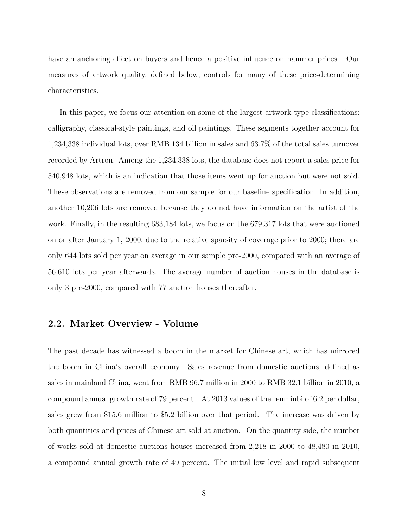have an anchoring effect on buyers and hence a positive influence on hammer prices. Our measures of artwork quality, defined below, controls for many of these price-determining characteristics.

In this paper, we focus our attention on some of the largest artwork type classifications: calligraphy, classical-style paintings, and oil paintings. These segments together account for 1,234,338 individual lots, over RMB 134 billion in sales and 63.7% of the total sales turnover recorded by Artron. Among the 1,234,338 lots, the database does not report a sales price for 540,948 lots, which is an indication that those items went up for auction but were not sold. These observations are removed from our sample for our baseline specification. In addition, another 10,206 lots are removed because they do not have information on the artist of the work. Finally, in the resulting 683,184 lots, we focus on the 679,317 lots that were auctioned on or after January 1, 2000, due to the relative sparsity of coverage prior to 2000; there are only 644 lots sold per year on average in our sample pre-2000, compared with an average of 56,610 lots per year afterwards. The average number of auction houses in the database is only 3 pre-2000, compared with 77 auction houses thereafter.

#### 2.2. Market Overview - Volume

The past decade has witnessed a boom in the market for Chinese art, which has mirrored the boom in China's overall economy. Sales revenue from domestic auctions, defined as sales in mainland China, went from RMB 96.7 million in 2000 to RMB 32.1 billion in 2010, a compound annual growth rate of 79 percent. At 2013 values of the renminbi of 6.2 per dollar, sales grew from \$15.6 million to \$5.2 billion over that period. The increase was driven by both quantities and prices of Chinese art sold at auction. On the quantity side, the number of works sold at domestic auctions houses increased from 2,218 in 2000 to 48,480 in 2010, a compound annual growth rate of 49 percent. The initial low level and rapid subsequent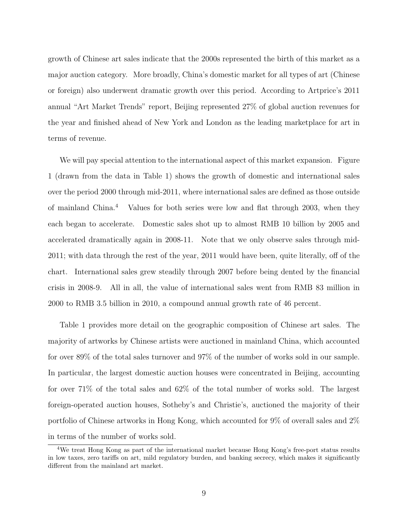growth of Chinese art sales indicate that the 2000s represented the birth of this market as a major auction category. More broadly, China's domestic market for all types of art (Chinese or foreign) also underwent dramatic growth over this period. According to Artprice's 2011 annual "Art Market Trends" report, Beijing represented 27% of global auction revenues for the year and finished ahead of New York and London as the leading marketplace for art in terms of revenue.

We will pay special attention to the international aspect of this market expansion. Figure 1 (drawn from the data in Table 1) shows the growth of domestic and international sales over the period 2000 through mid-2011, where international sales are defined as those outside of mainland China.<sup>4</sup> Values for both series were low and flat through 2003, when they each began to accelerate. Domestic sales shot up to almost RMB 10 billion by 2005 and accelerated dramatically again in 2008-11. Note that we only observe sales through mid-2011; with data through the rest of the year, 2011 would have been, quite literally, off of the chart. International sales grew steadily through 2007 before being dented by the financial crisis in 2008-9. All in all, the value of international sales went from RMB 83 million in 2000 to RMB 3.5 billion in 2010, a compound annual growth rate of 46 percent.

Table 1 provides more detail on the geographic composition of Chinese art sales. The majority of artworks by Chinese artists were auctioned in mainland China, which accounted for over 89% of the total sales turnover and 97% of the number of works sold in our sample. In particular, the largest domestic auction houses were concentrated in Beijing, accounting for over 71% of the total sales and 62% of the total number of works sold. The largest foreign-operated auction houses, Sotheby's and Christie's, auctioned the majority of their portfolio of Chinese artworks in Hong Kong, which accounted for 9% of overall sales and 2% in terms of the number of works sold.

<sup>4</sup>We treat Hong Kong as part of the international market because Hong Kong's free-port status results in low taxes, zero tariffs on art, mild regulatory burden, and banking secrecy, which makes it significantly different from the mainland art market.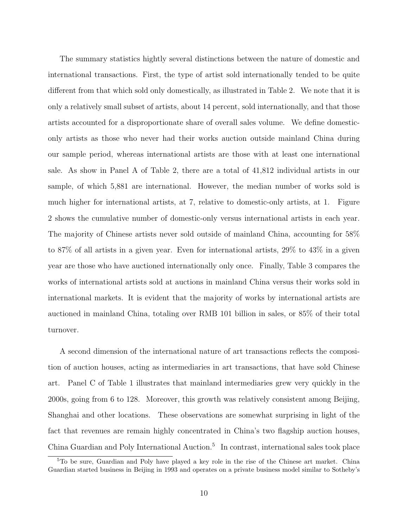The summary statistics hightly several distinctions between the nature of domestic and international transactions. First, the type of artist sold internationally tended to be quite different from that which sold only domestically, as illustrated in Table 2. We note that it is only a relatively small subset of artists, about 14 percent, sold internationally, and that those artists accounted for a disproportionate share of overall sales volume. We define domesticonly artists as those who never had their works auction outside mainland China during our sample period, whereas international artists are those with at least one international sale. As show in Panel A of Table 2, there are a total of 41,812 individual artists in our sample, of which 5,881 are international. However, the median number of works sold is much higher for international artists, at 7, relative to domestic-only artists, at 1. Figure 2 shows the cumulative number of domestic-only versus international artists in each year. The majority of Chinese artists never sold outside of mainland China, accounting for 58% to 87% of all artists in a given year. Even for international artists, 29% to 43% in a given year are those who have auctioned internationally only once. Finally, Table 3 compares the works of international artists sold at auctions in mainland China versus their works sold in international markets. It is evident that the majority of works by international artists are auctioned in mainland China, totaling over RMB 101 billion in sales, or 85% of their total turnover.

A second dimension of the international nature of art transactions reflects the composition of auction houses, acting as intermediaries in art transactions, that have sold Chinese art. Panel C of Table 1 illustrates that mainland intermediaries grew very quickly in the 2000s, going from 6 to 128. Moreover, this growth was relatively consistent among Beijing, Shanghai and other locations. These observations are somewhat surprising in light of the fact that revenues are remain highly concentrated in China's two flagship auction houses, China Guardian and Poly International Auction.<sup>5</sup> In contrast, international sales took place

<sup>5</sup>To be sure, Guardian and Poly have played a key role in the rise of the Chinese art market. China Guardian started business in Beijing in 1993 and operates on a private business model similar to Sotheby's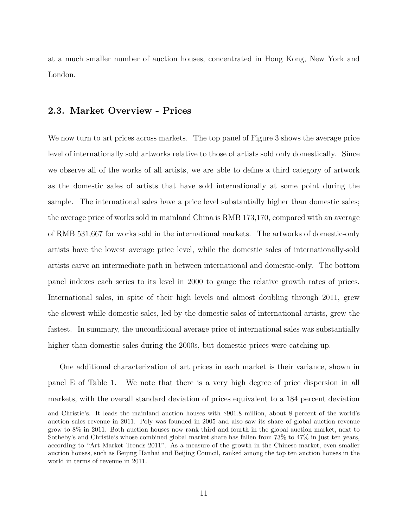at a much smaller number of auction houses, concentrated in Hong Kong, New York and London.

#### 2.3. Market Overview - Prices

We now turn to art prices across markets. The top panel of Figure 3 shows the average price level of internationally sold artworks relative to those of artists sold only domestically. Since we observe all of the works of all artists, we are able to define a third category of artwork as the domestic sales of artists that have sold internationally at some point during the sample. The international sales have a price level substantially higher than domestic sales; the average price of works sold in mainland China is RMB 173,170, compared with an average of RMB 531,667 for works sold in the international markets. The artworks of domestic-only artists have the lowest average price level, while the domestic sales of internationally-sold artists carve an intermediate path in between international and domestic-only. The bottom panel indexes each series to its level in 2000 to gauge the relative growth rates of prices. International sales, in spite of their high levels and almost doubling through 2011, grew the slowest while domestic sales, led by the domestic sales of international artists, grew the fastest. In summary, the unconditional average price of international sales was substantially higher than domestic sales during the 2000s, but domestic prices were catching up.

One additional characterization of art prices in each market is their variance, shown in panel E of Table 1. We note that there is a very high degree of price dispersion in all markets, with the overall standard deviation of prices equivalent to a 184 percent deviation

and Christie's. It leads the mainland auction houses with \$901.8 million, about 8 percent of the world's auction sales revenue in 2011. Poly was founded in 2005 and also saw its share of global auction revenue grow to 8% in 2011. Both auction houses now rank third and fourth in the global auction market, next to Sotheby's and Christie's whose combined global market share has fallen from 73% to 47% in just ten years, according to "Art Market Trends 2011". As a measure of the growth in the Chinese market, even smaller auction houses, such as Beijing Hanhai and Beijing Council, ranked among the top ten auction houses in the world in terms of revenue in 2011.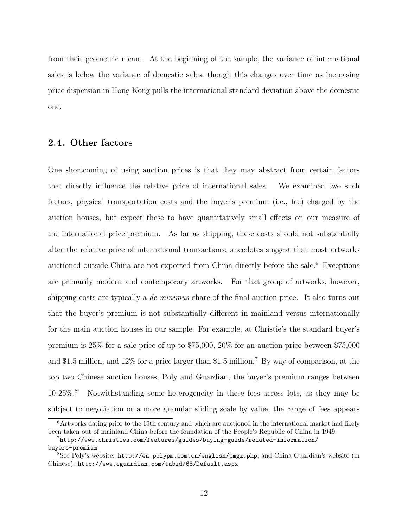from their geometric mean. At the beginning of the sample, the variance of international sales is below the variance of domestic sales, though this changes over time as increasing price dispersion in Hong Kong pulls the international standard deviation above the domestic one.

#### 2.4. Other factors

One shortcoming of using auction prices is that they may abstract from certain factors that directly influence the relative price of international sales. We examined two such factors, physical transportation costs and the buyer's premium (i.e., fee) charged by the auction houses, but expect these to have quantitatively small effects on our measure of the international price premium. As far as shipping, these costs should not substantially alter the relative price of international transactions; anecdotes suggest that most artworks auctioned outside China are not exported from China directly before the sale.<sup>6</sup> Exceptions are primarily modern and contemporary artworks. For that group of artworks, however, shipping costs are typically a *de minimus* share of the final auction price. It also turns out that the buyer's premium is not substantially different in mainland versus internationally for the main auction houses in our sample. For example, at Christie's the standard buyer's premium is 25% for a sale price of up to \$75,000, 20% for an auction price between \$75,000 and \$1.5 million, and 12% for a price larger than \$1.5 million.<sup>7</sup> By way of comparison, at the top two Chinese auction houses, Poly and Guardian, the buyer's premium ranges between 10-25%.<sup>8</sup> Notwithstanding some heterogeneity in these fees across lots, as they may be subject to negotiation or a more granular sliding scale by value, the range of fees appears

 $6$ Artworks dating prior to the 19th century and which are auctioned in the international market had likely been taken out of mainland China before the foundation of the People's Republic of China in 1949.

<sup>7</sup>http://www.christies.com/features/guides/buying-guide/related-information/ buyers-premium

<sup>8</sup>See Poly's website: http://en.polypm.com.cn/english/pmgz.php, and China Guardian's website (in Chinese): http://www.cguardian.com/tabid/68/Default.aspx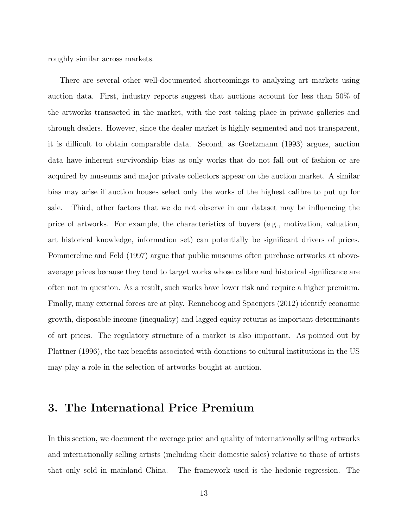roughly similar across markets.

There are several other well-documented shortcomings to analyzing art markets using auction data. First, industry reports suggest that auctions account for less than 50% of the artworks transacted in the market, with the rest taking place in private galleries and through dealers. However, since the dealer market is highly segmented and not transparent, it is difficult to obtain comparable data. Second, as Goetzmann (1993) argues, auction data have inherent survivorship bias as only works that do not fall out of fashion or are acquired by museums and major private collectors appear on the auction market. A similar bias may arise if auction houses select only the works of the highest calibre to put up for sale. Third, other factors that we do not observe in our dataset may be influencing the price of artworks. For example, the characteristics of buyers (e.g., motivation, valuation, art historical knowledge, information set) can potentially be significant drivers of prices. Pommerehne and Feld (1997) argue that public museums often purchase artworks at aboveaverage prices because they tend to target works whose calibre and historical significance are often not in question. As a result, such works have lower risk and require a higher premium. Finally, many external forces are at play. Renneboog and Spaenjers (2012) identify economic growth, disposable income (inequality) and lagged equity returns as important determinants of art prices. The regulatory structure of a market is also important. As pointed out by Plattner (1996), the tax benefits associated with donations to cultural institutions in the US may play a role in the selection of artworks bought at auction.

## 3. The International Price Premium

In this section, we document the average price and quality of internationally selling artworks and internationally selling artists (including their domestic sales) relative to those of artists that only sold in mainland China. The framework used is the hedonic regression. The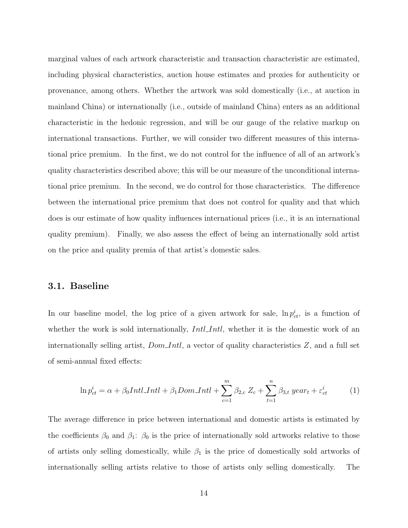marginal values of each artwork characteristic and transaction characteristic are estimated, including physical characteristics, auction house estimates and proxies for authenticity or provenance, among others. Whether the artwork was sold domestically (i.e., at auction in mainland China) or internationally (i.e., outside of mainland China) enters as an additional characteristic in the hedonic regression, and will be our gauge of the relative markup on international transactions. Further, we will consider two different measures of this international price premium. In the first, we do not control for the influence of all of an artwork's quality characteristics described above; this will be our measure of the unconditional international price premium. In the second, we do control for those characteristics. The difference between the international price premium that does not control for quality and that which does is our estimate of how quality influences international prices (i.e., it is an international quality premium). Finally, we also assess the effect of being an internationally sold artist on the price and quality premia of that artist's domestic sales.

#### 3.1. Baseline

In our baseline model, the log price of a given artwork for sale,  $\ln p_{ct}^i$ , is a function of whether the work is sold internationally, *Intl. Intl.*, whether it is the domestic work of an internationally selling artist,  $Dom\_Intl$ , a vector of quality characteristics  $Z$ , and a full set of semi-annual fixed effects:

$$
\ln p_{ct}^i = \alpha + \beta_0 Int l \cdot Int l + \beta_1 Dom \cdot Int l + \sum_{c=1}^m \beta_{2,c} Z_c + \sum_{t=1}^n \beta_{3,t} year_t + \varepsilon_{ct}^i \tag{1}
$$

The average difference in price between international and domestic artists is estimated by the coefficients  $\beta_0$  and  $\beta_1$ :  $\beta_0$  is the price of internationally sold artworks relative to those of artists only selling domestically, while  $\beta_1$  is the price of domestically sold artworks of internationally selling artists relative to those of artists only selling domestically. The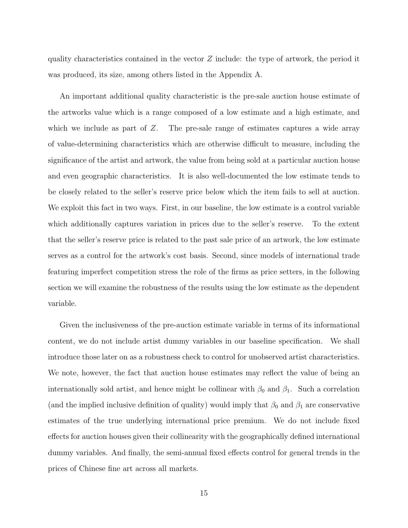quality characteristics contained in the vector  $Z$  include: the type of artwork, the period it was produced, its size, among others listed in the Appendix A.

An important additional quality characteristic is the pre-sale auction house estimate of the artworks value which is a range composed of a low estimate and a high estimate, and which we include as part of  $Z$ . The pre-sale range of estimates captures a wide array of value-determining characteristics which are otherwise difficult to measure, including the significance of the artist and artwork, the value from being sold at a particular auction house and even geographic characteristics. It is also well-documented the low estimate tends to be closely related to the seller's reserve price below which the item fails to sell at auction. We exploit this fact in two ways. First, in our baseline, the low estimate is a control variable which additionally captures variation in prices due to the seller's reserve. To the extent that the seller's reserve price is related to the past sale price of an artwork, the low estimate serves as a control for the artwork's cost basis. Second, since models of international trade featuring imperfect competition stress the role of the firms as price setters, in the following section we will examine the robustness of the results using the low estimate as the dependent variable.

Given the inclusiveness of the pre-auction estimate variable in terms of its informational content, we do not include artist dummy variables in our baseline specification. We shall introduce those later on as a robustness check to control for unobserved artist characteristics. We note, however, the fact that auction house estimates may reflect the value of being an internationally sold artist, and hence might be collinear with  $\beta_0$  and  $\beta_1$ . Such a correlation (and the implied inclusive definition of quality) would imply that  $\beta_0$  and  $\beta_1$  are conservative estimates of the true underlying international price premium. We do not include fixed effects for auction houses given their collinearity with the geographically defined international dummy variables. And finally, the semi-annual fixed effects control for general trends in the prices of Chinese fine art across all markets.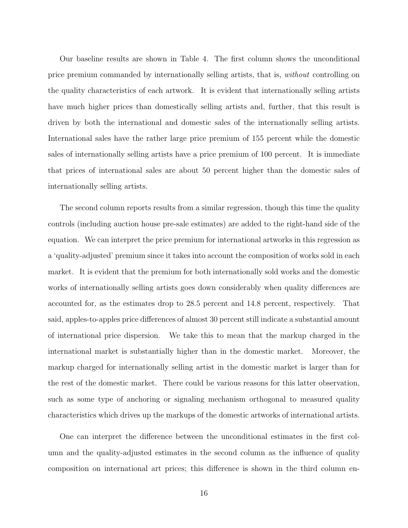Our baseline results are shown in Table 4. The first column shows the unconditional price premium commanded by internationally selling artists, that is, without controlling on the quality characteristics of each artwork. It is evident that internationally selling artists have much higher prices than domestically selling artists and, further, that this result is driven by both the international and domestic sales of the internationally selling artists. International sales have the rather large price premium of 155 percent while the domestic sales of internationally selling artists have a price premium of 100 percent. It is immediate that prices of international sales are about 50 percent higher than the domestic sales of internationally selling artists.

The second column reports results from a similar regression, though this time the quality controls (including auction house pre-sale estimates) are added to the right-hand side of the equation. We can interpret the price premium for international artworks in this regression as a 'quality-adjusted' premium since it takes into account the composition of works sold in each market. It is evident that the premium for both internationally sold works and the domestic works of internationally selling artists goes down considerably when quality differences are accounted for, as the estimates drop to 28.5 percent and 14.8 percent, respectively. That said, apples-to-apples price differences of almost 30 percent still indicate a substantial amount of international price dispersion. We take this to mean that the markup charged in the international market is substantially higher than in the domestic market. Moreover, the markup charged for internationally selling artist in the domestic market is larger than for the rest of the domestic market. There could be various reasons for this latter observation, such as some type of anchoring or signaling mechanism orthogonal to measured quality characteristics which drives up the markups of the domestic artworks of international artists.

One can interpret the difference between the unconditional estimates in the first column and the quality-adjusted estimates in the second column as the influence of quality composition on international art prices; this difference is shown in the third column en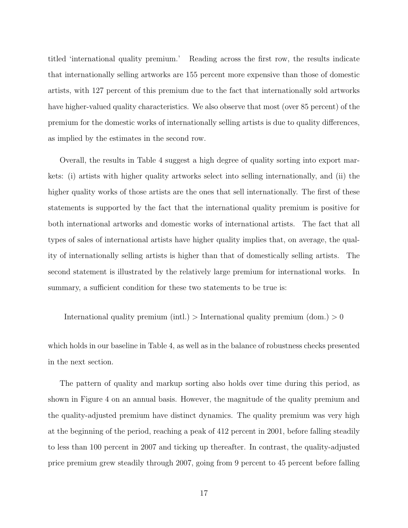titled 'international quality premium.' Reading across the first row, the results indicate that internationally selling artworks are 155 percent more expensive than those of domestic artists, with 127 percent of this premium due to the fact that internationally sold artworks have higher-valued quality characteristics. We also observe that most (over 85 percent) of the premium for the domestic works of internationally selling artists is due to quality differences, as implied by the estimates in the second row.

Overall, the results in Table 4 suggest a high degree of quality sorting into export markets: (i) artists with higher quality artworks select into selling internationally, and (ii) the higher quality works of those artists are the ones that sell internationally. The first of these statements is supported by the fact that the international quality premium is positive for both international artworks and domestic works of international artists. The fact that all types of sales of international artists have higher quality implies that, on average, the quality of internationally selling artists is higher than that of domestically selling artists. The second statement is illustrated by the relatively large premium for international works. In summary, a sufficient condition for these two statements to be true is:

International quality premium (intl.)  $>$  International quality premium (dom.)  $> 0$ 

which holds in our baseline in Table 4, as well as in the balance of robustness checks presented in the next section.

The pattern of quality and markup sorting also holds over time during this period, as shown in Figure 4 on an annual basis. However, the magnitude of the quality premium and the quality-adjusted premium have distinct dynamics. The quality premium was very high at the beginning of the period, reaching a peak of 412 percent in 2001, before falling steadily to less than 100 percent in 2007 and ticking up thereafter. In contrast, the quality-adjusted price premium grew steadily through 2007, going from 9 percent to 45 percent before falling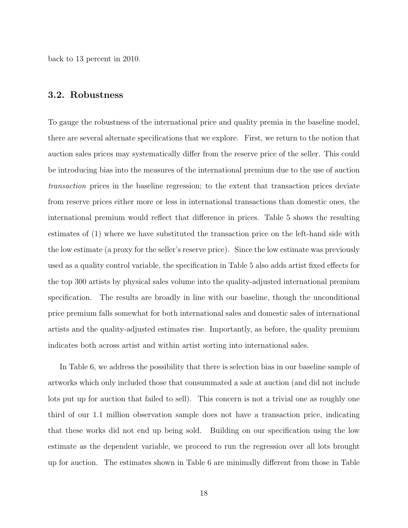back to 13 percent in 2010.

#### 3.2. Robustness

To gauge the robustness of the international price and quality premia in the baseline model, there are several alternate specifications that we explore. First, we return to the notion that auction sales prices may systematically differ from the reserve price of the seller. This could be introducing bias into the measures of the international premium due to the use of auction transaction prices in the baseline regression; to the extent that transaction prices deviate from reserve prices either more or less in international transactions than domestic ones, the international premium would reflect that difference in prices. Table 5 shows the resulting estimates of (1) where we have substituted the transaction price on the left-hand side with the low estimate (a proxy for the seller's reserve price). Since the low estimate was previously used as a quality control variable, the specification in Table 5 also adds artist fixed effects for the top 300 artists by physical sales volume into the quality-adjusted international premium specification. The results are broadly in line with our baseline, though the unconditional price premium falls somewhat for both international sales and domestic sales of international artists and the quality-adjusted estimates rise. Importantly, as before, the quality premium indicates both across artist and within artist sorting into international sales.

In Table 6, we address the possibility that there is selection bias in our baseline sample of artworks which only included those that consummated a sale at auction (and did not include lots put up for auction that failed to sell). This concern is not a trivial one as roughly one third of our 1.1 million observation sample does not have a transaction price, indicating that these works did not end up being sold. Building on our specification using the low estimate as the dependent variable, we proceed to run the regression over all lots brought up for auction. The estimates shown in Table 6 are minimally different from those in Table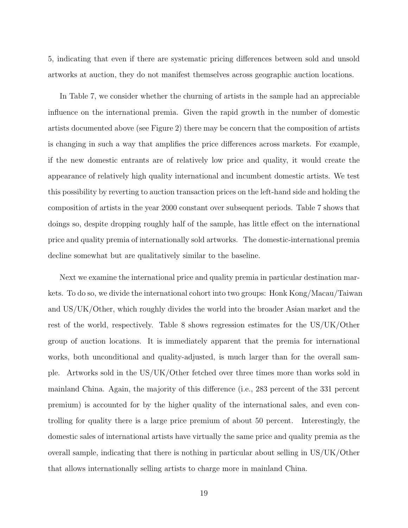5, indicating that even if there are systematic pricing differences between sold and unsold artworks at auction, they do not manifest themselves across geographic auction locations.

In Table 7, we consider whether the churning of artists in the sample had an appreciable influence on the international premia. Given the rapid growth in the number of domestic artists documented above (see Figure 2) there may be concern that the composition of artists is changing in such a way that amplifies the price differences across markets. For example, if the new domestic entrants are of relatively low price and quality, it would create the appearance of relatively high quality international and incumbent domestic artists. We test this possibility by reverting to auction transaction prices on the left-hand side and holding the composition of artists in the year 2000 constant over subsequent periods. Table 7 shows that doings so, despite dropping roughly half of the sample, has little effect on the international price and quality premia of internationally sold artworks. The domestic-international premia decline somewhat but are qualitatively similar to the baseline.

Next we examine the international price and quality premia in particular destination markets. To do so, we divide the international cohort into two groups: Honk Kong/Macau/Taiwan and US/UK/Other, which roughly divides the world into the broader Asian market and the rest of the world, respectively. Table 8 shows regression estimates for the US/UK/Other group of auction locations. It is immediately apparent that the premia for international works, both unconditional and quality-adjusted, is much larger than for the overall sample. Artworks sold in the US/UK/Other fetched over three times more than works sold in mainland China. Again, the majority of this difference (i.e., 283 percent of the 331 percent premium) is accounted for by the higher quality of the international sales, and even controlling for quality there is a large price premium of about 50 percent. Interestingly, the domestic sales of international artists have virtually the same price and quality premia as the overall sample, indicating that there is nothing in particular about selling in US/UK/Other that allows internationally selling artists to charge more in mainland China.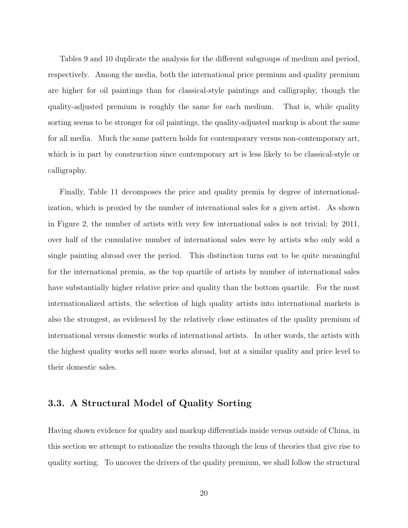Tables 9 and 10 duplicate the analysis for the different subgroups of medium and period, respectively. Among the media, both the international price premium and quality premium are higher for oil paintings than for classical-style paintings and calligraphy, though the quality-adjusted premium is roughly the same for each medium. That is, while quality sorting seems to be stronger for oil paintings, the quality-adjusted markup is about the same for all media. Much the same pattern holds for contemporary versus non-contemporary art, which is in part by construction since contemporary art is less likely to be classical-style or calligraphy.

Finally, Table 11 decomposes the price and quality premia by degree of internationalization, which is proxied by the number of international sales for a given artist. As shown in Figure 2, the number of artists with very few international sales is not trivial; by 2011, over half of the cumulative number of international sales were by artists who only sold a single painting abroad over the period. This distinction turns out to be quite meaningful for the international premia, as the top quartile of artists by number of international sales have substantially higher relative price and quality than the bottom quartile. For the most internationalized artists, the selection of high quality artists into international markets is also the strongest, as evidenced by the relatively close estimates of the quality premium of international versus domestic works of international artists. In other words, the artists with the highest quality works sell more works abroad, but at a similar quality and price level to their domestic sales.

#### 3.3. A Structural Model of Quality Sorting

Having shown evidence for quality and markup differentials inside versus outside of China, in this section we attempt to rationalize the results through the lens of theories that give rise to quality sorting. To uncover the drivers of the quality premium, we shall follow the structural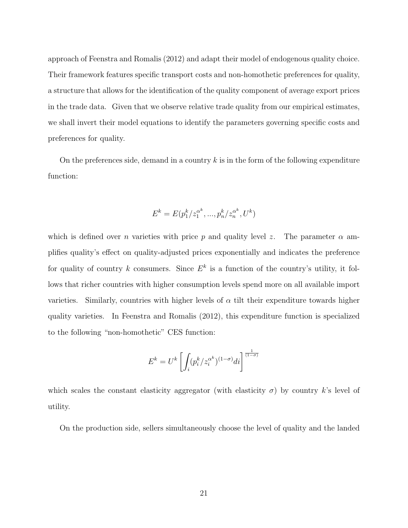approach of Feenstra and Romalis (2012) and adapt their model of endogenous quality choice. Their framework features specific transport costs and non-homothetic preferences for quality, a structure that allows for the identification of the quality component of average export prices in the trade data. Given that we observe relative trade quality from our empirical estimates, we shall invert their model equations to identify the parameters governing specific costs and preferences for quality.

On the preferences side, demand in a country k is in the form of the following expenditure function:

$$
E^{k} = E(p_1^{k}/z_1^{\alpha^{k}}, ..., p_n^{k}/z_n^{\alpha^{k}}, U^{k})
$$

which is defined over n varieties with price p and quality level z. The parameter  $\alpha$  amplifies quality's effect on quality-adjusted prices exponentially and indicates the preference for quality of country k consumers. Since  $E^k$  is a function of the country's utility, it follows that richer countries with higher consumption levels spend more on all available import varieties. Similarly, countries with higher levels of  $\alpha$  tilt their expenditure towards higher quality varieties. In Feenstra and Romalis (2012), this expenditure function is specialized to the following "non-homothetic" CES function:

$$
E^k = U^k \left[ \int_i (p_i^k / z_i^{\alpha^k})^{(1-\sigma)} di \right]^{\frac{1}{(1-\sigma)}}
$$

which scales the constant elasticity aggregator (with elasticity  $\sigma$ ) by country k's level of utility.

On the production side, sellers simultaneously choose the level of quality and the landed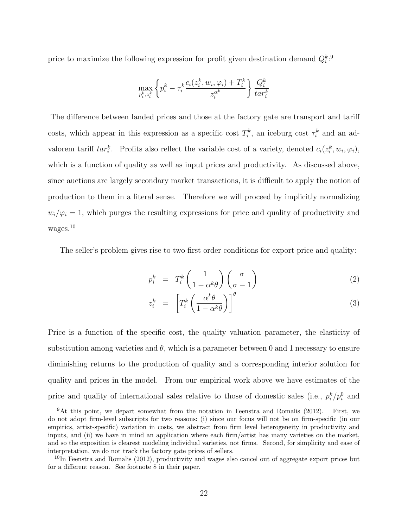price to maximize the following expression for profit given destination demand  $Q_i^k$ <sup>9</sup>

$$
\max_{p_i^k, z_i^k} \left\{ p_i^k - \tau_i^k \frac{c_i(z_i^k, w_i, \varphi_i) + T_i^k}{z_i^{\alpha^k}} \right\} \frac{Q_i^k}{tar_i^k}
$$

The difference between landed prices and those at the factory gate are transport and tariff costs, which appear in this expression as a specific cost  $T_i^k$ , an iceburg cost  $\tau_i^k$  and an advalorem tariff  $tar_i^k$ . Profits also reflect the variable cost of a variety, denoted  $c_i(z_i^k, w_i, \varphi_i)$ , which is a function of quality as well as input prices and productivity. As discussed above, since auctions are largely secondary market transactions, it is difficult to apply the notion of production to them in a literal sense. Therefore we will proceed by implicitly normalizing  $w_i/\varphi_i = 1$ , which purges the resulting expressions for price and quality of productivity and wages.<sup>10</sup>

The seller's problem gives rise to two first order conditions for export price and quality:

$$
p_i^k = T_i^k \left(\frac{1}{1 - \alpha^k \theta}\right) \left(\frac{\sigma}{\sigma - 1}\right) \tag{2}
$$

$$
z_i^k = \left[ T_i^k \left( \frac{\alpha^k \theta}{1 - \alpha^k \theta} \right) \right]^\theta \tag{3}
$$

Price is a function of the specific cost, the quality valuation parameter, the elasticity of substitution among varieties and  $\theta$ , which is a parameter between 0 and 1 necessary to ensure diminishing returns to the production of quality and a corresponding interior solution for quality and prices in the model. From our empirical work above we have estimates of the price and quality of international sales relative to those of domestic sales (i.e.,  $p_i^k/p_i^0$  and

 $9$ At this point, we depart somewhat from the notation in Feenstra and Romalis (2012). First, we do not adopt firm-level subscripts for two reasons: (i) since our focus will not be on firm-specific (in our empirics, artist-specific) variation in costs, we abstract from firm level heterogeneity in productivity and inputs, and (ii) we have in mind an application where each firm/artist has many varieties on the market, and so the exposition is clearest modeling individual varieties, not firms. Second, for simplicity and ease of interpretation, we do not track the factory gate prices of sellers.

<sup>&</sup>lt;sup>10</sup>In Feenstra and Romalis (2012), productivity and wages also cancel out of aggregate export prices but for a different reason. See footnote 8 in their paper.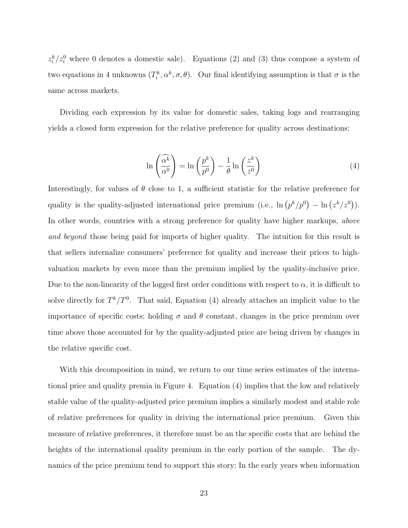$z_i^k/z_i^0$  where 0 denotes a domestic sale). Equations (2) and (3) thus compose a system of two equations in 4 unknowns  $(T_i^k, \alpha^k, \sigma, \theta)$ . Our final identifying assumption is that  $\sigma$  is the same across markets.

Dividing each expression by its value for domestic sales, taking logs and rearranging yields a closed form expression for the relative preference for quality across destinations:

$$
\ln\left(\frac{\widehat{\alpha^k}}{\alpha^0}\right) = \ln\left(\frac{p^k}{p^0}\right) - \frac{1}{\theta}\ln\left(\frac{z^k}{z^0}\right) \tag{4}
$$

Interestingly, for values of  $\theta$  close to 1, a sufficient statistic for the relative preference for quality is the quality-adjusted international price premium (i.e.,  $\ln (p^k/p^0) - \ln (z^k/z^0)$ ). In other words, countries with a strong preference for quality have higher markups, above and beyond those being paid for imports of higher quality. The intuition for this result is that sellers internalize consumers' preference for quality and increase their prices to highvaluation markets by even more than the premium implied by the quality-inclusive price. Due to the non-linearity of the logged first order conditions with respect to  $\alpha$ , it is difficult to solve directly for  $T^k/T^0$ . That said, Equation (4) already attaches an implicit value to the importance of specific costs; holding  $\sigma$  and  $\theta$  constant, changes in the price premium over time above those accounted for by the quality-adjusted price are being driven by changes in the relative specific cost.

With this decomposition in mind, we return to our time series estimates of the international price and quality premia in Figure 4. Equation (4) implies that the low and relatively stable value of the quality-adjusted price premium implies a similarly modest and stable role of relative preferences for quality in driving the international price premium. Given this measure of relative preferences, it therefore must be an the specific costs that are behind the heights of the international quality premium in the early portion of the sample. The dynamics of the price premium tend to support this story: In the early years when information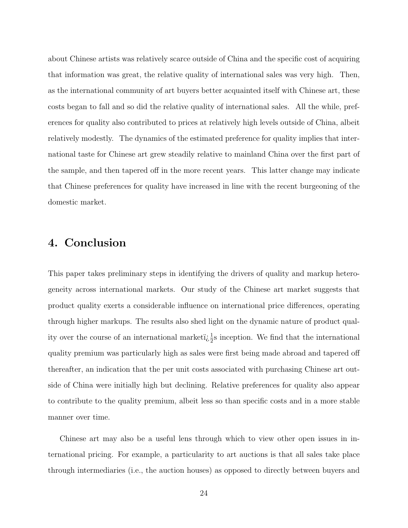about Chinese artists was relatively scarce outside of China and the specific cost of acquiring that information was great, the relative quality of international sales was very high. Then, as the international community of art buyers better acquainted itself with Chinese art, these costs began to fall and so did the relative quality of international sales. All the while, preferences for quality also contributed to prices at relatively high levels outside of China, albeit relatively modestly. The dynamics of the estimated preference for quality implies that international taste for Chinese art grew steadily relative to mainland China over the first part of the sample, and then tapered off in the more recent years. This latter change may indicate that Chinese preferences for quality have increased in line with the recent burgeoning of the domestic market.

## 4. Conclusion

This paper takes preliminary steps in identifying the drivers of quality and markup heterogeneity across international markets. Our study of the Chinese art market suggests that product quality exerts a considerable influence on international price differences, operating through higher markups. The results also shed light on the dynamic nature of product quality over the course of an international market  $i_{\xi}^{1}$  inception. We find that the international quality premium was particularly high as sales were first being made abroad and tapered off thereafter, an indication that the per unit costs associated with purchasing Chinese art outside of China were initially high but declining. Relative preferences for quality also appear to contribute to the quality premium, albeit less so than specific costs and in a more stable manner over time.

Chinese art may also be a useful lens through which to view other open issues in international pricing. For example, a particularity to art auctions is that all sales take place through intermediaries (i.e., the auction houses) as opposed to directly between buyers and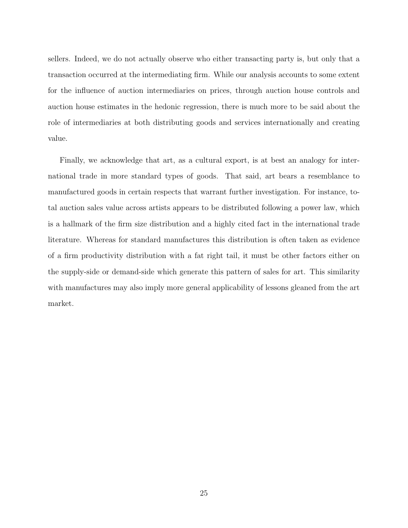sellers. Indeed, we do not actually observe who either transacting party is, but only that a transaction occurred at the intermediating firm. While our analysis accounts to some extent for the influence of auction intermediaries on prices, through auction house controls and auction house estimates in the hedonic regression, there is much more to be said about the role of intermediaries at both distributing goods and services internationally and creating value.

Finally, we acknowledge that art, as a cultural export, is at best an analogy for international trade in more standard types of goods. That said, art bears a resemblance to manufactured goods in certain respects that warrant further investigation. For instance, total auction sales value across artists appears to be distributed following a power law, which is a hallmark of the firm size distribution and a highly cited fact in the international trade literature. Whereas for standard manufactures this distribution is often taken as evidence of a firm productivity distribution with a fat right tail, it must be other factors either on the supply-side or demand-side which generate this pattern of sales for art. This similarity with manufactures may also imply more general applicability of lessons gleaned from the art market.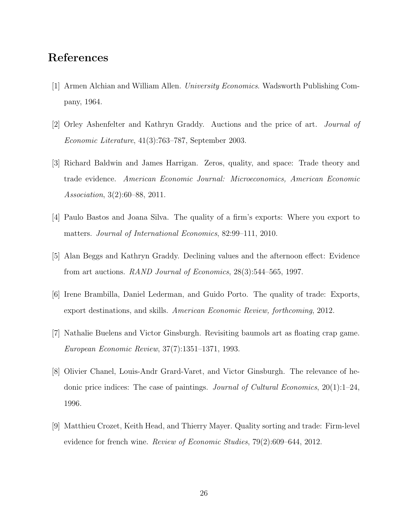## References

- [1] Armen Alchian and William Allen. University Economics. Wadsworth Publishing Company, 1964.
- [2] Orley Ashenfelter and Kathryn Graddy. Auctions and the price of art. Journal of Economic Literature, 41(3):763–787, September 2003.
- [3] Richard Baldwin and James Harrigan. Zeros, quality, and space: Trade theory and trade evidence. American Economic Journal: Microeconomics, American Economic Association, 3(2):60–88, 2011.
- [4] Paulo Bastos and Joana Silva. The quality of a firm's exports: Where you export to matters. Journal of International Economics, 82:99–111, 2010.
- [5] Alan Beggs and Kathryn Graddy. Declining values and the afternoon effect: Evidence from art auctions. RAND Journal of Economics, 28(3):544–565, 1997.
- [6] Irene Brambilla, Daniel Lederman, and Guido Porto. The quality of trade: Exports, export destinations, and skills. American Economic Review, forthcoming, 2012.
- [7] Nathalie Buelens and Victor Ginsburgh. Revisiting baumols art as floating crap game. European Economic Review, 37(7):1351–1371, 1993.
- [8] Olivier Chanel, Louis-Andr Grard-Varet, and Victor Ginsburgh. The relevance of hedonic price indices: The case of paintings. Journal of Cultural Economics,  $20(1)$ :1–24, 1996.
- [9] Matthieu Crozet, Keith Head, and Thierry Mayer. Quality sorting and trade: Firm-level evidence for french wine. Review of Economic Studies, 79(2):609–644, 2012.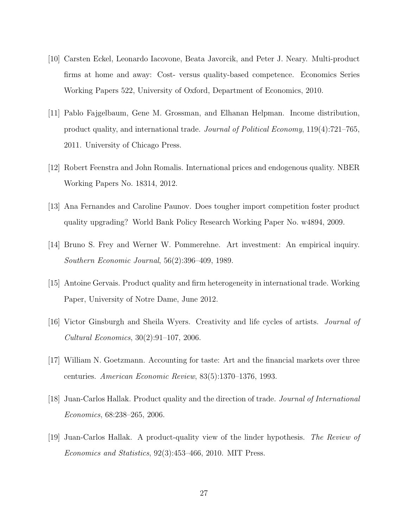- [10] Carsten Eckel, Leonardo Iacovone, Beata Javorcik, and Peter J. Neary. Multi-product firms at home and away: Cost- versus quality-based competence. Economics Series Working Papers 522, University of Oxford, Department of Economics, 2010.
- [11] Pablo Fajgelbaum, Gene M. Grossman, and Elhanan Helpman. Income distribution, product quality, and international trade. Journal of Political Economy, 119(4):721–765, 2011. University of Chicago Press.
- [12] Robert Feenstra and John Romalis. International prices and endogenous quality. NBER Working Papers No. 18314, 2012.
- [13] Ana Fernandes and Caroline Paunov. Does tougher import competition foster product quality upgrading? World Bank Policy Research Working Paper No. w4894, 2009.
- [14] Bruno S. Frey and Werner W. Pommerehne. Art investment: An empirical inquiry. Southern Economic Journal, 56(2):396–409, 1989.
- [15] Antoine Gervais. Product quality and firm heterogeneity in international trade. Working Paper, University of Notre Dame, June 2012.
- [16] Victor Ginsburgh and Sheila Wyers. Creativity and life cycles of artists. Journal of Cultural Economics, 30(2):91–107, 2006.
- [17] William N. Goetzmann. Accounting for taste: Art and the financial markets over three centuries. American Economic Review, 83(5):1370–1376, 1993.
- [18] Juan-Carlos Hallak. Product quality and the direction of trade. Journal of International Economics, 68:238–265, 2006.
- [19] Juan-Carlos Hallak. A product-quality view of the linder hypothesis. The Review of Economics and Statistics, 92(3):453–466, 2010. MIT Press.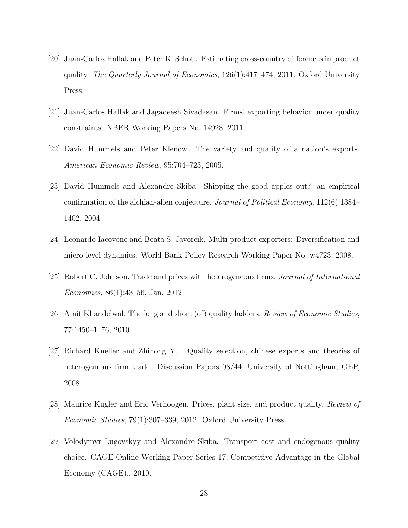- [20] Juan-Carlos Hallak and Peter K. Schott. Estimating cross-country differences in product quality. The Quarterly Journal of Economics, 126(1):417–474, 2011. Oxford University Press.
- [21] Juan-Carlos Hallak and Jagadeesh Sivadasan. Firms' exporting behavior under quality constraints. NBER Working Papers No. 14928, 2011.
- [22] David Hummels and Peter Klenow. The variety and quality of a nation's exports. American Economic Review, 95:704–723, 2005.
- [23] David Hummels and Alexandre Skiba. Shipping the good apples out? an empirical confirmation of the alchian-allen conjecture. Journal of Political Economy, 112(6):1384– 1402, 2004.
- [24] Leonardo Iacovone and Beata S. Javorcik. Multi-product exporters: Diversification and micro-level dynamics. World Bank Policy Research Working Paper No. w4723, 2008.
- [25] Robert C. Johnson. Trade and prices with heterogeneous firms. Journal of International Economics, 86(1):43–56, Jan. 2012.
- [26] Amit Khandelwal. The long and short (of) quality ladders. Review of Economic Studies, 77:1450–1476, 2010.
- [27] Richard Kneller and Zhihong Yu. Quality selection, chinese exports and theories of heterogeneous firm trade. Discussion Papers 08/44, University of Nottingham, GEP, 2008.
- [28] Maurice Kugler and Eric Verhoogen. Prices, plant size, and product quality. Review of Economic Studies, 79(1):307–339, 2012. Oxford University Press.
- [29] Volodymyr Lugovskyy and Alexandre Skiba. Transport cost and endogenous quality choice. CAGE Online Working Paper Series 17, Competitive Advantage in the Global Economy (CAGE)., 2010.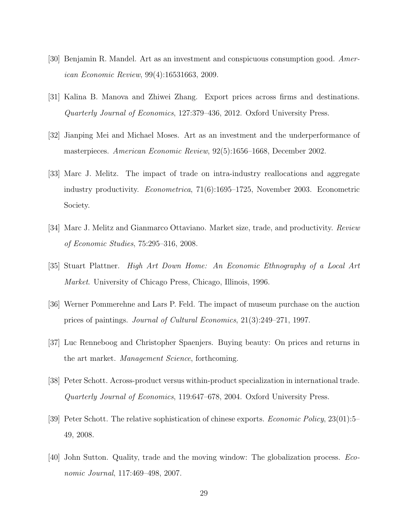- [30] Benjamin R. Mandel. Art as an investment and conspicuous consumption good. American Economic Review, 99(4):16531663, 2009.
- [31] Kalina B. Manova and Zhiwei Zhang. Export prices across firms and destinations. Quarterly Journal of Economics, 127:379–436, 2012. Oxford University Press.
- [32] Jianping Mei and Michael Moses. Art as an investment and the underperformance of masterpieces. American Economic Review, 92(5):1656–1668, December 2002.
- [33] Marc J. Melitz. The impact of trade on intra-industry reallocations and aggregate industry productivity. *Econometrica*, 71(6):1695–1725, November 2003. Econometric Society.
- [34] Marc J. Melitz and Gianmarco Ottaviano. Market size, trade, and productivity. Review of Economic Studies, 75:295–316, 2008.
- [35] Stuart Plattner. High Art Down Home: An Economic Ethnography of a Local Art Market. University of Chicago Press, Chicago, Illinois, 1996.
- [36] Werner Pommerehne and Lars P. Feld. The impact of museum purchase on the auction prices of paintings. Journal of Cultural Economics, 21(3):249–271, 1997.
- [37] Luc Renneboog and Christopher Spaenjers. Buying beauty: On prices and returns in the art market. Management Science, forthcoming.
- [38] Peter Schott. Across-product versus within-product specialization in international trade. Quarterly Journal of Economics, 119:647–678, 2004. Oxford University Press.
- [39] Peter Schott. The relative sophistication of chinese exports. Economic Policy, 23(01):5– 49, 2008.
- [40] John Sutton. Quality, trade and the moving window: The globalization process. Economic Journal, 117:469–498, 2007.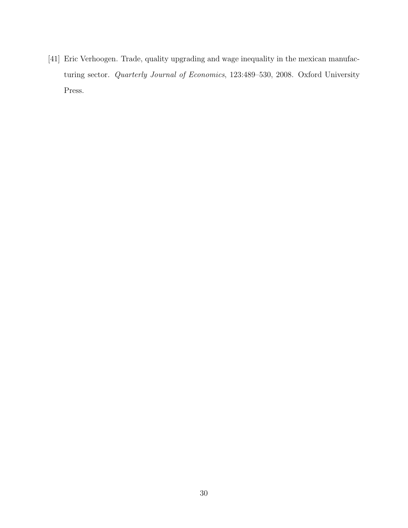[41] Eric Verhoogen. Trade, quality upgrading and wage inequality in the mexican manufacturing sector. Quarterly Journal of Economics, 123:489–530, 2008. Oxford University Press.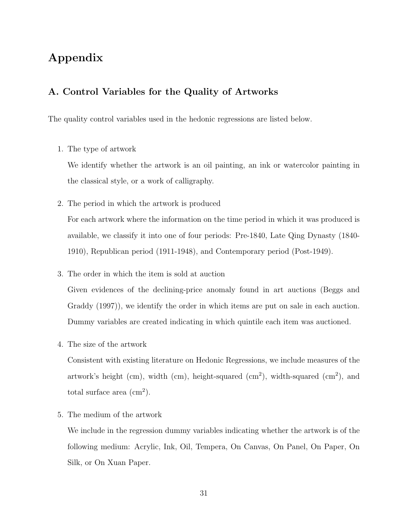## Appendix

### A. Control Variables for the Quality of Artworks

The quality control variables used in the hedonic regressions are listed below.

1. The type of artwork

We identify whether the artwork is an oil painting, an ink or watercolor painting in the classical style, or a work of calligraphy.

2. The period in which the artwork is produced

For each artwork where the information on the time period in which it was produced is available, we classify it into one of four periods: Pre-1840, Late Qing Dynasty (1840- 1910), Republican period (1911-1948), and Contemporary period (Post-1949).

3. The order in which the item is sold at auction

Given evidences of the declining-price anomaly found in art auctions (Beggs and Graddy (1997)), we identify the order in which items are put on sale in each auction. Dummy variables are created indicating in which quintile each item was auctioned.

4. The size of the artwork

Consistent with existing literature on Hedonic Regressions, we include measures of the artwork's height (cm), width (cm), height-squared (cm<sup>2</sup>), width-squared (cm<sup>2</sup>), and total surface area  $\text{(cm}^2\text{)}.$ 

5. The medium of the artwork

We include in the regression dummy variables indicating whether the artwork is of the following medium: Acrylic, Ink, Oil, Tempera, On Canvas, On Panel, On Paper, On Silk, or On Xuan Paper.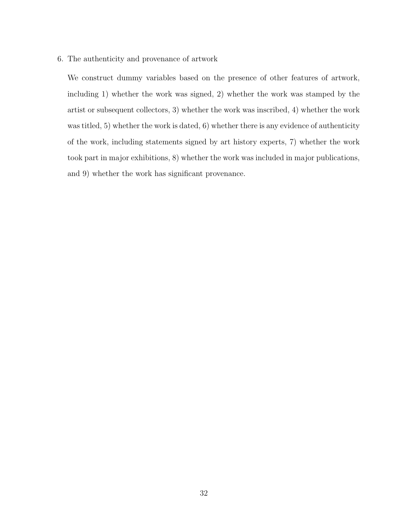6. The authenticity and provenance of artwork

We construct dummy variables based on the presence of other features of artwork, including 1) whether the work was signed, 2) whether the work was stamped by the artist or subsequent collectors, 3) whether the work was inscribed, 4) whether the work was titled, 5) whether the work is dated, 6) whether there is any evidence of authenticity of the work, including statements signed by art history experts, 7) whether the work took part in major exhibitions, 8) whether the work was included in major publications, and 9) whether the work has significant provenance.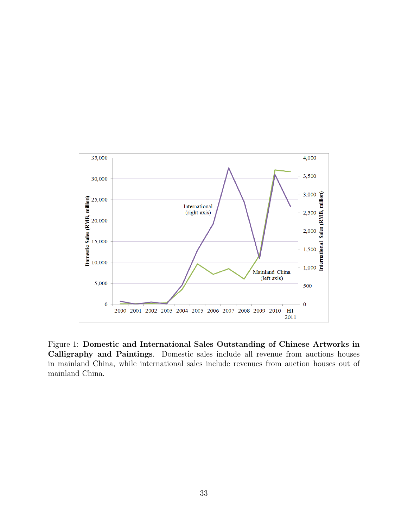

Figure 1: Domestic and International Sales Outstanding of Chinese Artworks in Calligraphy and Paintings. Domestic sales include all revenue from auctions houses in mainland China, while international sales include revenues from auction houses out of mainland China.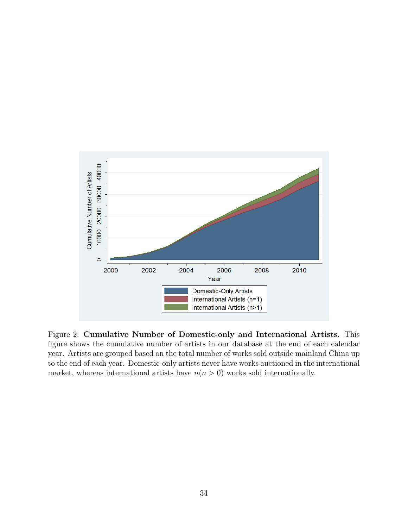

Figure 2: Cumulative Number of Domestic-only and International Artists. This figure shows the cumulative number of artists in our database at the end of each calendar year. Artists are grouped based on the total number of works sold outside mainland China up to the end of each year. Domestic-only artists never have works auctioned in the international market, whereas international artists have  $n(n > 0)$  works sold internationally.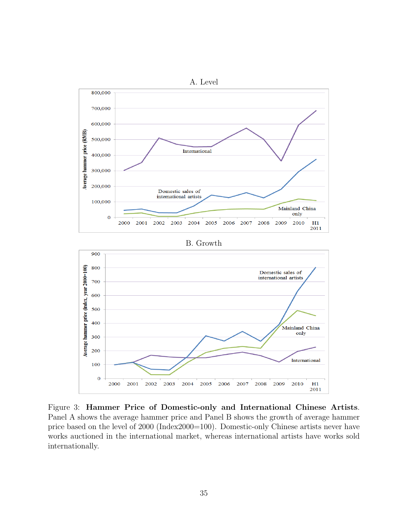

Figure 3: Hammer Price of Domestic-only and International Chinese Artists. Panel A shows the average hammer price and Panel B shows the growth of average hammer price based on the level of 2000 (Index2000=100). Domestic-only Chinese artists never have works auctioned in the international market, whereas international artists have works sold internationally.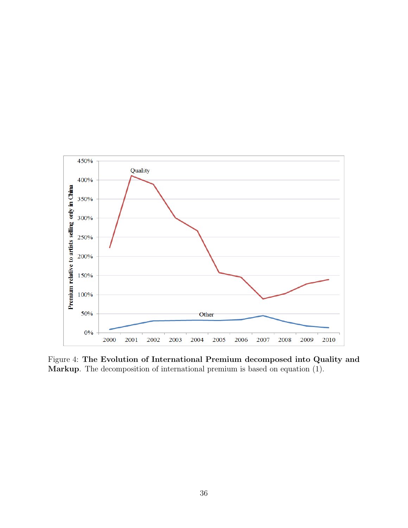

Figure 4: The Evolution of International Premium decomposed into Quality and Markup. The decomposition of international premium is based on equation (1).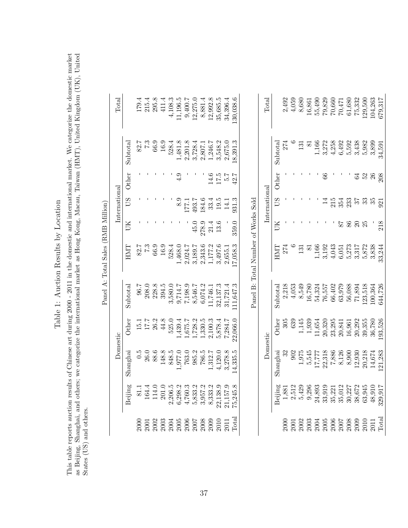Table 1: Auction Results by Location Table 1: Auction Results by Location

This table reports auction results of Chinese art during 2000 - 2011 in the domestic and international market. We categorize the domestic market<br>as Beijing, Shanghai, and others; we categorize the international market as H This table reports auction results of Chinese art during 2000 - 2011 in the domestic and international market. We categorize the domestic market as Beijing, Shanghai, and others; we categorize the international market as Hong Kong, Macau, Taiwan (HMT), United Kingdom (UK), United States (US) and others.

|                                    | Total         |                  |      | $179.4$<br>$215.4$<br>$295.8$<br>$411.4$            |                                                        |       |                                                                                                | $4,108.3$<br>1,196.5                                                                          | 9,400.7            | 12,275.0                                                     | 8,881.4            | 12,992.8                                                                | 35,685.5               | 34,396.4          | 30,038.6       |                                     | Total         |                            | 2,492 |
|------------------------------------|---------------|------------------|------|-----------------------------------------------------|--------------------------------------------------------|-------|------------------------------------------------------------------------------------------------|-----------------------------------------------------------------------------------------------|--------------------|--------------------------------------------------------------|--------------------|-------------------------------------------------------------------------|------------------------|-------------------|----------------|-------------------------------------|---------------|----------------------------|-------|
|                                    |               | Subtotal         | 82.7 |                                                     | $\begin{array}{c} 7.3 \\ 66.9 \\ 16.9 \end{array}$     |       | 528.4                                                                                          |                                                                                               |                    | $\begin{array}{c} 1,481.8 \\ 2,201.8 \\ 3,728.4 \end{array}$ |                    | $2,807.1$<br>$1,246.7$<br>$3,548.2$                                     |                        | 2,675.0           | 8,391.3        |                                     |               | $\operatorname{Subtotal}$  | 274   |
|                                    |               | Other            |      |                                                     |                                                        |       |                                                                                                |                                                                                               |                    |                                                              |                    | 14.6                                                                    | 17.5                   | 5.7               | 42.7           |                                     |               | Other                      |       |
|                                    | International | SÛ               |      |                                                     |                                                        |       |                                                                                                | 8.9                                                                                           | $\overline{171}$   | 493.7                                                        | 184.6              |                                                                         | $33.4$<br>$19.5$       | $\overline{14}$ . | 931.3          |                                     | International | SÛ                         |       |
|                                    |               | JK               |      |                                                     |                                                        |       |                                                                                                |                                                                                               |                    | 45.0                                                         | 278.9              | 21.4                                                                    | 13.6                   |                   | 359.0          |                                     |               | $\mathbb H$                |       |
| Panel A: Total Sales (RMB Million) |               | HMIT             | 82.7 | 7.3                                                 | 66.9                                                   | 16.9  | 528.4                                                                                          | 1,468.0                                                                                       | 2,024.7            |                                                              |                    | $\begin{array}{c} 3,189.7 \\ 2,343.6 \\ 1,177.2 \\ 3,497.6 \end{array}$ |                        | 2,655.1           | 7,058.3        | Panel B: Total Number of Works Sold |               | HMIT                       | 274   |
|                                    |               | ${\rm Subtotal}$ | 96.7 |                                                     | $\begin{array}{c} 208.0 \\ 228.8 \\ 394.5 \end{array}$ |       |                                                                                                | $\begin{array}{c} 3,580.0 \\ 9,714.7 \\ 7,198.9 \\ 8,546.7 \\ 8,546.7 \\ 6,074.2 \end{array}$ |                    |                                                              |                    | 11,746.1                                                                | 32,137.3               | 31,721.4          | 1,647.3        |                                     |               | $\operatorname{Subtotal}$  | 2,218 |
|                                    |               | Other            | 15.1 | $\begin{array}{l} 17.7 \\ 26.3 \\ 44.8 \end{array}$ |                                                        |       | 525.0                                                                                          |                                                                                               | 1,439.4<br>1,675.7 |                                                              |                    | $\begin{array}{l} 1,728.2 \\ 1,330.5 \\ 2,100.3 \\ 5,878.4 \end{array}$ |                        | 7,284.7           | 22,066.0       |                                     |               | Other                      | 305   |
|                                    | Domestic      | Shanghai         | 0.5  | <b>26.0</b>                                         | 88.6                                                   | 148.8 | 848.5                                                                                          |                                                                                               | 1,977.0<br>763.0   | 985.2                                                        | 786.5              |                                                                         | $1,312.7$<br>$4,120.0$ | 3,278.8           | 4,335.5        |                                     | Domestic      | $\operatorname{Shanghail}$ | 32    |
|                                    |               | Beijing          | 81.1 | 164.4                                               | 114.0<br>201.0                                         |       |                                                                                                | $2,206.5$<br>6,298.2<br>4,760.3                                                               |                    |                                                              | 5,833.2<br>3,957.2 | 8,333.2                                                                 | 22,138.9               | 21,157.9          | 5,245.8        |                                     |               | Beijing                    | 1,881 |
|                                    |               |                  |      | 2001                                                | 2002                                                   |       | $\begin{array}{l} 2003 \\ 2004 \\ 2005 \\ 2006 \\ 2007 \\ 2008 \\ 2008 \\ 2009 \\ \end{array}$ |                                                                                               |                    |                                                              |                    |                                                                         | 2010                   | 2011              | $_{\rm Total}$ |                                     |               |                            | 2000  |

| $\Gamma$ ota |                 |  |                                                                                                                                                                                                                                                                                                               |                                                                                                                                                                                                                                                                                                     |  |  |  |                |    | 2,492<br>4,059<br>4,0580<br>5,680<br>5,000 471<br>5,000 471<br>5,000 471<br>5,000 5,000<br>7,000 5,000<br>7,000 5,000<br>7,000 7,000<br>7,000 7,000 7,000 |
|--------------|-----------------|--|---------------------------------------------------------------------------------------------------------------------------------------------------------------------------------------------------------------------------------------------------------------------------------------------------------------|-----------------------------------------------------------------------------------------------------------------------------------------------------------------------------------------------------------------------------------------------------------------------------------------------------|--|--|--|----------------|----|-----------------------------------------------------------------------------------------------------------------------------------------------------------|
|              |                 |  |                                                                                                                                                                                                                                                                                                               |                                                                                                                                                                                                                                                                                                     |  |  |  |                |    |                                                                                                                                                           |
|              |                 |  |                                                                                                                                                                                                                                                                                                               |                                                                                                                                                                                                                                                                                                     |  |  |  |                |    | 208                                                                                                                                                       |
|              |                 |  |                                                                                                                                                                                                                                                                                                               |                                                                                                                                                                                                                                                                                                     |  |  |  |                | 35 | 921                                                                                                                                                       |
|              |                 |  |                                                                                                                                                                                                                                                                                                               |                                                                                                                                                                                                                                                                                                     |  |  |  | <u>ន</u><br>25 |    | 218                                                                                                                                                       |
|              |                 |  |                                                                                                                                                                                                                                                                                                               |                                                                                                                                                                                                                                                                                                     |  |  |  |                |    |                                                                                                                                                           |
|              |                 |  | $100004$<br>$2,218$<br>$4,053$<br>$4,054$<br>$8,540$<br>$7,800$<br>$7,6,402$<br>$7,808$<br>$7,808$<br>$7,808$<br>$7,804$<br>$7,700$<br>$7,700$<br>$7,700$<br>$7,700$<br>$7,700$<br>$7,700$<br>$7,700$<br>$7,700$<br>$7,700$                                                                                   |                                                                                                                                                                                                                                                                                                     |  |  |  |                |    |                                                                                                                                                           |
|              | ther            |  |                                                                                                                                                                                                                                                                                                               | $\begin{array}{l} 1.145 \\ 1.939 \\ 1.654 \\ 1.654 \\ 1.738 \\ 2.834 \\ 2.844 \\ 2.654 \\ 2.654 \\ 2.654 \\ 2.654 \\ 2.654 \\ 2.654 \\ 2.654 \\ 2.654 \\ 2.654 \\ 2.654 \\ 2.654 \\ 2.654 \\ 2.654 \\ 2.654 \\ 2.654 \\ 2.654 \\ 2.654 \\ 2.654 \\ 2.654 \\ 2.654 \\ 2.654 \\ 2.654 \\ 2.654 \\ 2.$ |  |  |  |                |    |                                                                                                                                                           |
|              |                 |  | $\begin{array}{l} 1.975 \\ 5,545 \\ 5,777 \\ 22,318 \\ 7,886 \\ 8,126 \\ 8,900 \\ 2,912 \\ 2,031 \\ 2,674 \\ 14,674 \\ 14,674 \\ 12,1,283 \\ \end{array}$                                                                                                                                                     |                                                                                                                                                                                                                                                                                                     |  |  |  |                |    |                                                                                                                                                           |
|              | $\Delta$ eijing |  |                                                                                                                                                                                                                                                                                                               |                                                                                                                                                                                                                                                                                                     |  |  |  |                |    |                                                                                                                                                           |
|              |                 |  | $\begin{array}{l} 2000 \\ 2001 \\ 2000 \\ 2000 \\ 2000 \\ 2000 \\ 2000 \\ 2000 \\ 2000 \\ 2000 \\ 2000 \\ 2000 \\ 2000 \\ 2001 \\ 2011 \\ 2011 \\ 2011 \\ 2011 \\ 2011 \\ 2011 \\ 2011 \\ 2011 \\ 2011 \\ 2011 \\ 2011 \\ 2011 \\ 2011 \\ 2011 \\ 2011 \\ 2011 \\ 2011 \\ 2011 \\ 2011 \\ 2011 \\ 2012 \\ 20$ |                                                                                                                                                                                                                                                                                                     |  |  |  |                |    |                                                                                                                                                           |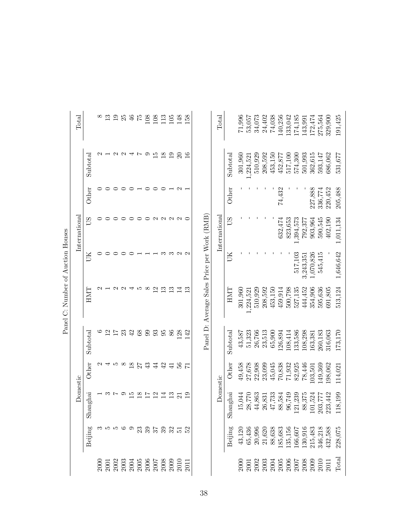|                                   | Total         |                 |   | $\frac{3}{2}$ | $\overline{1}$        | 25      | $\frac{4}{6}$    | $\frac{52}{5}$ | 108            | 108                                                                                                                                                                                                                                                                                                           | 113             | 105            | 148               | 158             |                                             | Total         |          | 71,996  | 53,057                                                                                                                                                                                                                                                                                                        | 34,073  | 24,402               | 74,038  | 140,256 | 133,042 | 174,185   | 143,991   | 172,474   | 275,564 | 329,900                                                                                                                                                                                    | 191,425         |
|-----------------------------------|---------------|-----------------|---|---------------|-----------------------|---------|------------------|----------------|----------------|---------------------------------------------------------------------------------------------------------------------------------------------------------------------------------------------------------------------------------------------------------------------------------------------------------------|-----------------|----------------|-------------------|-----------------|---------------------------------------------|---------------|----------|---------|---------------------------------------------------------------------------------------------------------------------------------------------------------------------------------------------------------------------------------------------------------------------------------------------------------------|---------|----------------------|---------|---------|---------|-----------|-----------|-----------|---------|--------------------------------------------------------------------------------------------------------------------------------------------------------------------------------------------|-----------------|
|                                   |               | Subtotal        |   |               | $\cup \cup \cup \cup$ |         |                  |                | $\circ$        | $\overline{5}$                                                                                                                                                                                                                                                                                                | $\frac{8}{18}$  | $\overline{1}$ | $\Omega$          | $\frac{6}{1}$   |                                             |               | Subtotal | 301,960 | ,224,521                                                                                                                                                                                                                                                                                                      | 510,929 | 208,592              | 453,150 | 452,877 | 517,100 | 574,300   | 501,993   | 362,615   | 593,147 | 686,062                                                                                                                                                                                    | 531,677         |
|                                   |               | Other           |   | ⊂             | ⊂                     | $\circ$ | $\circ$          |                | $\circ$        | ○                                                                                                                                                                                                                                                                                                             | ⊂               |                | $\sim$            |                 |                                             |               | Other    |         |                                                                                                                                                                                                                                                                                                               |         |                      |         | 74,432  |         |           |           | 227,888   | 336,774 | 220,452                                                                                                                                                                                    | 205,488         |
|                                   | International | SΩ              |   |               |                       |         |                  |                |                | $\mathbf{\Omega}$                                                                                                                                                                                                                                                                                             | $\sim$          |                | $\sim$ $\sim$     |                 |                                             | International | SΩ       |         |                                                                                                                                                                                                                                                                                                               |         |                      |         | 632,474 | 823,653 | 1,394,573 | 792,377   | 903,964   | 590,545 | 402,190                                                                                                                                                                                    | 1,011,134       |
|                                   |               | UК              |   | ⊂             |                       |         |                  |                |                |                                                                                                                                                                                                                                                                                                               | ∽               | ಌ              | $\sim$ $\sim$     |                 |                                             |               | ĎК       |         |                                                                                                                                                                                                                                                                                                               |         |                      |         |         |         | 517,103   | 3,243,351 | 1,070,826 | 545,415 |                                                                                                                                                                                            | 1,646,642       |
| Panel C: Number of Auction Houses |               | <b>HMT</b>      |   |               | $\mathbf{\Omega}$     | $\sim$  |                  | IJ             | $\infty$       | 12                                                                                                                                                                                                                                                                                                            | $\frac{3}{2}$   | $\frac{3}{1}$  | 14                | $\frac{3}{1}$   | Panel D: Average Sales Price per Work (RMB) |               | HMT      | 301,960 | 1,224,521                                                                                                                                                                                                                                                                                                     | 510,929 | 208,592              | 453,150 | 459,914 | 500,798 | 527,135   | 444,452   | 354,906   | 595,636 | 691,805                                                                                                                                                                                    | 513,124         |
|                                   |               | Subtotal        | అ | 12            | $\overline{17}$       | 23      | 42               | 68             | 99             | 93                                                                                                                                                                                                                                                                                                            | 95              | 86             | 128               | 142             |                                             |               | Subtotal | 43,587  | 51,323                                                                                                                                                                                                                                                                                                        | 26,766  | 23,513               | 65,900  | 126,894 | 108,414 | 133,586   | 108,298   | 163,381   | 260,183 | 316,063                                                                                                                                                                                    | 173,170         |
|                                   |               | Other           |   |               | IJ                    | 8       | $\frac{8}{2}$    | 27             | 43             | $\overline{4}$                                                                                                                                                                                                                                                                                                | 42              | $\frac{1}{4}$  | 56                | $\overline{7}$  |                                             |               | Other    | 49,458  | 27,678                                                                                                                                                                                                                                                                                                        | 22,908  | 23,099               | 45,045  | 70,838  | 71,932  | 82,925    | 78,446    | .03,501   | 149,369 | 198,062                                                                                                                                                                                    | 114,021         |
|                                   | Domestic      | nghai<br>$S$ ha |   |               | $\sim$ $\sim$         |         | $9\frac{15}{12}$ | $rac{8}{17}$   |                | $\overline{12}$                                                                                                                                                                                                                                                                                               | $\overline{14}$ | $\mathbb{C}$   | $\overline{21}$   | $\overline{19}$ |                                             | Domestic      | Shanghai |         |                                                                                                                                                                                                                                                                                                               |         |                      |         |         |         |           |           |           |         | $\begin{array}{l} 15,044 \\ 28,770 \\ 24,863 \\ 44,863 \\ 45,733 \\ 46,854 \\ 88,584 \\ 96,749 \\ 88,375 \\ 203,777 \\ 80,742 \\ 203,777 \\ 203,442 \\ 21,1,234 \\ 223,442 \\ \end{array}$ | 8,199<br>$\Box$ |
|                                   |               | Beijing         |   | က ၊ က ၊ ာ ပ   |                       |         | ా                |                | $\frac{23}{3}$ | 57                                                                                                                                                                                                                                                                                                            |                 |                | <u>និង។</u><br>ខេ |                 |                                             |               | Beijing  | 43,120  | 65,436                                                                                                                                                                                                                                                                                                        |         | $20,996$<br>$21,620$ |         |         |         |           |           |           |         | $\begin{array}{l} 88,638 \\ 185,683 \\ 135,156 \\ 166,607 \\ 166,607 \\ 1130,916 \\ 215,483 \\ 215,483 \\ 346,218 \end{array}$                                                             | 228,075         |
|                                   |               |                 |   |               |                       |         |                  |                |                | $\begin{array}{l} 2000 \\ 2001 \\ 2003 \\ 2003 \\ 2004 \\ 2005 \\ 2006 \\ 2008 \\ 2000 \\ 2000 \\ 2000 \\ 2000 \\ 2000 \\ 2000 \\ 2010 \\ 2010 \\ 2010 \\ 2010 \\ 2010 \\ 2010 \\ 2010 \\ 2010 \\ 2010 \\ 2010 \\ 2010 \\ 2010 \\ 2010 \\ 2010 \\ 2010 \\ 2010 \\ 2010 \\ 2010 \\ 2010 \\ 2010 \\ 2010 \\ 20$ |                 |                |                   | 2011            |                                             |               |          |         | $\begin{array}{l} 2000 \\ 2001 \\ 2003 \\ 2008 \\ 2000 \\ 2000 \\ 2000 \\ 2000 \\ 2000 \\ 2000 \\ 2000 \\ 2000 \\ 2011 \\ 2011 \\ 2011 \\ 2011 \\ 2011 \\ 2011 \\ 2011 \\ 2011 \\ 2011 \\ 2011 \\ 2011 \\ 2011 \\ 2011 \\ 2012 \\ 2012 \\ 2013 \\ 2013 \\ 2012 \\ 2013 \\ 2013 \\ 2014 \\ 2012 \\ 2013 \\ 20$ |         |                      |         |         |         |           |           |           |         |                                                                                                                                                                                            | Tota.           |

È ł  $\mathbf{r}$  $\vec{\zeta}$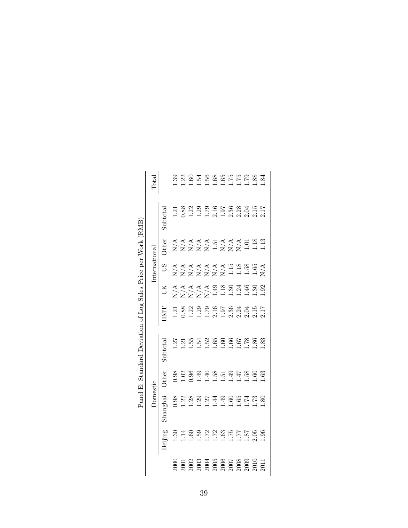|                                          | Total         |                       |                                                                                                                                                                                                                                                                                                               |  |  |  |  |  |
|------------------------------------------|---------------|-----------------------|---------------------------------------------------------------------------------------------------------------------------------------------------------------------------------------------------------------------------------------------------------------------------------------------------------------|--|--|--|--|--|
|                                          |               | $\frac{1}{2}$ ubtotal |                                                                                                                                                                                                                                                                                                               |  |  |  |  |  |
| Price per Work (RMB)                     |               | Other                 | AAAAAHAAAA<br>ZZZZZ-ZZZZ-1                                                                                                                                                                                                                                                                                    |  |  |  |  |  |
|                                          | International | SΩ                    | A<br>KKKKKKKHHHHX<br>XXXXXXHHHHX                                                                                                                                                                                                                                                                              |  |  |  |  |  |
|                                          |               | ŬК                    |                                                                                                                                                                                                                                                                                                               |  |  |  |  |  |
|                                          |               |                       |                                                                                                                                                                                                                                                                                                               |  |  |  |  |  |
| Panel E: Standard Deviation of Log Sales |               | $\frac{1}{2}$ ubtotal |                                                                                                                                                                                                                                                                                                               |  |  |  |  |  |
|                                          |               | <b>Other</b>          | 8 8 8 9 9 9 8 5 9 4 5 6 6 6 7<br>0 1 0 1 1 1 1 1 1 1 1 1 1 1                                                                                                                                                                                                                                                  |  |  |  |  |  |
|                                          |               | Shanghai              | $0.288877780$                                                                                                                                                                                                                                                                                                 |  |  |  |  |  |
|                                          |               |                       |                                                                                                                                                                                                                                                                                                               |  |  |  |  |  |
|                                          |               |                       | $\begin{array}{l} 2000 \\ 2001 \\ 2003 \\ 2003 \\ 2004 \\ 2005 \\ 2006 \\ 2007 \\ 2008 \\ 2007 \\ 2009 \\ 2001 \\ 2011 \\ 2011 \\ 2011 \\ 2011 \\ 2011 \\ 2011 \\ 2011 \\ 2011 \\ 2011 \\ 2011 \\ 2011 \\ 2011 \\ 2012 \\ 2012 \\ 2013 \\ 2013 \\ 2014 \\ 2012 \\ 2013 \\ 2013 \\ 2014 \\ 2014 \\ 2015 \\ 20$ |  |  |  |  |  |

| r Work ( $\mathsf R$                   |
|----------------------------------------|
|                                        |
|                                        |
|                                        |
| Price ner                              |
|                                        |
|                                        |
|                                        |
|                                        |
|                                        |
|                                        |
|                                        |
|                                        |
| $\frac{1}{2}$ or $\frac{1}{2}$ os<br>ł |
|                                        |
|                                        |
|                                        |
| į                                      |
|                                        |
|                                        |
|                                        |
|                                        |
| Ś                                      |
|                                        |
|                                        |
|                                        |
|                                        |
|                                        |
| is the first officer                   |
|                                        |
|                                        |
|                                        |
|                                        |
| $\frac{1}{2}$                          |
|                                        |
|                                        |
|                                        |
| i                                      |
|                                        |
|                                        |
| Panel -<br>ľ                           |
|                                        |
|                                        |
|                                        |
|                                        |
| ĺ                                      |
|                                        |
|                                        |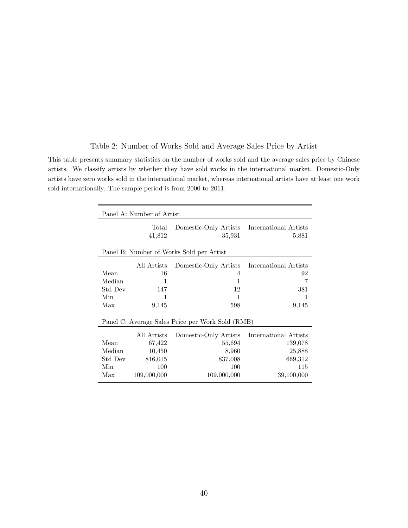| Table 2: Number of Works Sold and Average Sales Price by Artist |  |  |  |  |  |
|-----------------------------------------------------------------|--|--|--|--|--|
|                                                                 |  |  |  |  |  |

This table presents summary statistics on the number of works sold and the average sales price by Chinese artists. We classify artists by whether they have sold works in the international market. Domestic-Only artists have zero works sold in the international market, whereas international artists have at least one work sold internationally. The sample period is from 2000 to 2011.

|         | Panel A: Number of Artist |                                                       |                       |
|---------|---------------------------|-------------------------------------------------------|-----------------------|
|         | Total<br>41,812           | Domestic-Only Artists International Artists<br>35,931 | 5,881                 |
|         |                           | Panel B: Number of Works Sold per Artist              |                       |
|         | All Artists               | Domestic-Only Artists International Artists           |                       |
| Mean    | 16                        | 4                                                     | 92                    |
| Median  | 1                         | $\mathbf{1}$                                          | 7                     |
| Std Dev | 147                       | 12                                                    | 381                   |
| Min     | 1                         | 1                                                     | 1                     |
| Max     | 9,145                     | 598                                                   | 9,145                 |
|         |                           | Panel C: Average Sales Price per Work Sold (RMB)      |                       |
|         | All Artists               | Domestic-Only Artists                                 | International Artists |
| Mean    | 67,422                    | 55,694                                                | 139,078               |
| Median  | 10,450                    | 8,960                                                 | 25,888                |
| Std Dev | 816,015                   | 837,008                                               | 669,312               |
| Min     | 100                       | 100                                                   | 115                   |
| Max     | 109,000,000               | 109,000,000                                           | 39,100,000            |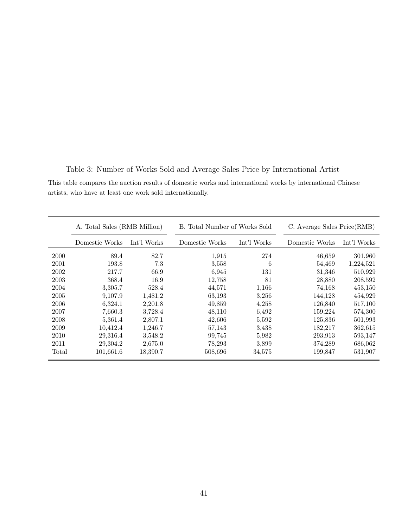|       |                | A. Total Sales (RMB Million) |                | B. Total Number of Works Sold | C. Average Sales Price(RMB) |             |  |  |
|-------|----------------|------------------------------|----------------|-------------------------------|-----------------------------|-------------|--|--|
|       | Domestic Works | Int'l Works                  | Domestic Works | Int'l Works                   | Domestic Works              | Int'l Works |  |  |
| 2000  | 89.4           | 82.7                         | 1,915          | 274                           | 46,659                      | 301,960     |  |  |
| 2001  | 193.8          | 7.3                          | 3,558          | 6                             | 54,469                      | 1,224,521   |  |  |
| 2002  | 217.7          | 66.9                         | 6.945          | 131                           | 31,346                      | 510,929     |  |  |
| 2003  | 368.4          | 16.9                         | 12,758         | 81                            | 28,880                      | 208,592     |  |  |
| 2004  | 3,305.7        | 528.4                        | 44,571         | 1,166                         | 74,168                      | 453,150     |  |  |
| 2005  | 9,107.9        | 1,481.2                      | 63,193         | 3,256                         | 144,128                     | 454,929     |  |  |
| 2006  | 6,324.1        | 2,201.8                      | 49,859         | 4,258                         | 126,840                     | 517,100     |  |  |
| 2007  | 7,660.3        | 3,728.4                      | 48,110         | 6,492                         | 159,224                     | 574,300     |  |  |
| 2008  | 5,361.4        | 2,807.1                      | 42,606         | 5,592                         | 125,836                     | 501,993     |  |  |
| 2009  | 10,412.4       | 1,246.7                      | 57,143         | 3,438                         | 182,217                     | 362,615     |  |  |
| 2010  | 29,316.4       | 3,548.2                      | 99,745         | 5,982                         | 293,913                     | 593,147     |  |  |
| 2011  | 29,304.2       | 2,675.0                      | 78,293         | 3,899                         | 374,289                     | 686,062     |  |  |
| Total | 101,661.6      | 18,390.7                     | 508,696        | 34,575                        | 199,847                     | 531,907     |  |  |

Table 3: Number of Works Sold and Average Sales Price by International Artist

This table compares the auction results of domestic works and international works by international Chinese artists, who have at least one work sold internationally.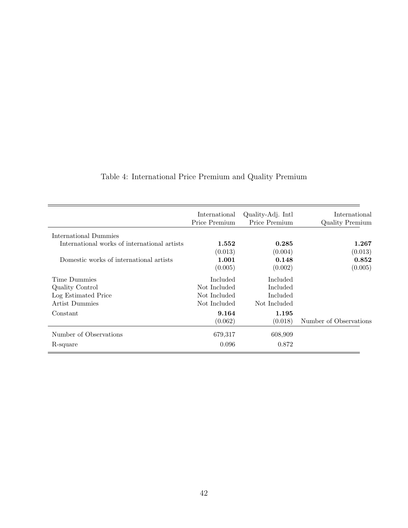|                                              | International<br>Price Premium | Quality-Adj. Intl.<br>Price Premium | International<br><b>Quality Premium</b> |
|----------------------------------------------|--------------------------------|-------------------------------------|-----------------------------------------|
| International Dummies                        |                                |                                     |                                         |
| International works of international artists | 1.552                          | 0.285                               | 1.267                                   |
|                                              | (0.013)                        | (0.004)                             | (0.013)                                 |
| Domestic works of international artists      | 1.001                          | 0.148                               | 0.852                                   |
|                                              | (0.005)                        | (0.002)                             | (0.005)                                 |
| Time Dummies                                 | Included                       | Included                            |                                         |
| Quality Control                              | Not Included                   | Included                            |                                         |
| Log Estimated Price                          | Not Included                   | Included                            |                                         |
| Artist Dummies                               | Not Included                   | Not Included                        |                                         |
| Constant                                     | 9.164                          | 1.195                               |                                         |
|                                              | (0.062)                        | (0.018)                             | Number of Observations                  |
| Number of Observations                       | 679,317                        | 608,909                             |                                         |
| R-square                                     | 0.096                          | 0.872                               |                                         |

## Table 4: International Price Premium and Quality Premium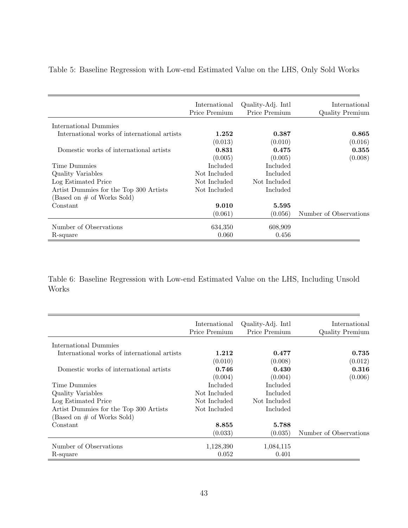|                                              | International<br>Price Premium | Quality-Adj. Intl.<br>Price Premium | International<br><b>Quality Premium</b> |
|----------------------------------------------|--------------------------------|-------------------------------------|-----------------------------------------|
| International Dummies                        |                                |                                     |                                         |
| International works of international artists | 1.252                          | 0.387                               | 0.865                                   |
|                                              | (0.013)                        | (0.010)                             | (0.016)                                 |
| Domestic works of international artists      | 0.831                          | 0.475                               | 0.355                                   |
|                                              | (0.005)                        | (0.005)                             | (0.008)                                 |
| Time Dummies                                 | Included                       | Included                            |                                         |
| Quality Variables                            | Not Included                   | Included                            |                                         |
| Log Estimated Price                          | Not Included                   | Not Included                        |                                         |
| Artist Dummies for the Top 300 Artists       | Not Included                   | Included                            |                                         |
| (Based on # of Works Sold)                   |                                |                                     |                                         |
| Constant                                     | 9.010                          | 5.595                               |                                         |
|                                              | (0.061)                        | (0.056)                             | Number of Observations                  |
| Number of Observations                       | 634,350                        | 608,909                             |                                         |
| R-square                                     | 0.060                          | 0.456                               |                                         |

Table 5: Baseline Regression with Low-end Estimated Value on the LHS, Only Sold Works

Table 6: Baseline Regression with Low-end Estimated Value on the LHS, Including Unsold Works

|                                              | International<br>Price Premium | Quality-Adj. Intl<br>Price Premium | International<br><b>Quality Premium</b> |
|----------------------------------------------|--------------------------------|------------------------------------|-----------------------------------------|
| International Dummies                        |                                |                                    |                                         |
| International works of international artists | 1.212                          | 0.477                              | 0.735                                   |
|                                              | (0.010)                        | (0.008)                            | (0.012)                                 |
| Domestic works of international artists      | 0.746                          | 0.430                              | 0.316                                   |
|                                              | (0.004)                        | (0.004)                            | (0.006)                                 |
| Time Dummies                                 | Included                       | Included                           |                                         |
| Quality Variables                            | Not Included                   | Included                           |                                         |
| Log Estimated Price                          | Not Included                   | Not Included                       |                                         |
| Artist Dummies for the Top 300 Artists       | Not Included                   | Included                           |                                         |
| (Based on $\#$ of Works Sold)                |                                |                                    |                                         |
| Constant                                     | 8.855                          | 5.788                              |                                         |
|                                              | (0.033)                        | (0.035)                            | Number of Observations                  |
| Number of Observations                       | 1,128,390                      | 1,084,115                          |                                         |
| R-square                                     | 0.052                          | 0.401                              |                                         |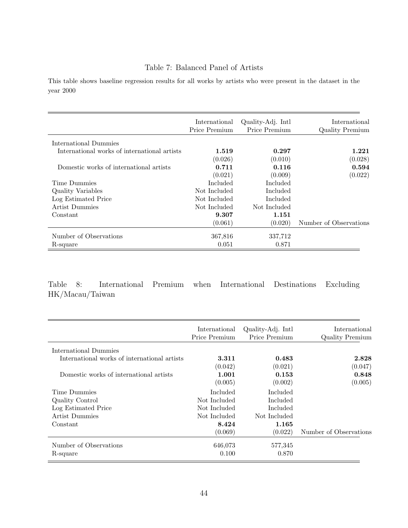#### Table 7: Balanced Panel of Artists

This table shows baseline regression results for all works by artists who were present in the dataset in the year 2000

|                                              | International<br>Price Premium | Quality-Adj. Intl.<br>Price Premium | International<br><b>Quality Premium</b> |
|----------------------------------------------|--------------------------------|-------------------------------------|-----------------------------------------|
| International Dummies                        |                                |                                     |                                         |
| International works of international artists | 1.519                          | 0.297                               | 1.221                                   |
|                                              | (0.026)                        | (0.010)                             | (0.028)                                 |
| Domestic works of international artists      | 0.711                          | 0.116                               | 0.594                                   |
|                                              | (0.021)                        | (0.009)                             | (0.022)                                 |
| Time Dummies                                 | Included                       | Included                            |                                         |
| Quality Variables                            | Not Included                   | Included                            |                                         |
| Log Estimated Price                          | Not Included                   | Included                            |                                         |
| Artist Dummies                               | Not Included                   | Not Included                        |                                         |
| Constant                                     | 9.307                          | 1.151                               |                                         |
|                                              | (0.061)                        | (0.020)                             | Number of Observations                  |
| Number of Observations                       | 367,816                        | 337,712                             |                                         |
| R-square                                     | 0.051                          | 0.871                               |                                         |

Table 8: International Premium when International Destinations Excluding HK/Macau/Taiwan

|                                              | International<br>Price Premium | Quality-Adj. Intl.<br>Price Premium | International<br><b>Quality Premium</b> |
|----------------------------------------------|--------------------------------|-------------------------------------|-----------------------------------------|
| International Dummies                        |                                |                                     |                                         |
| International works of international artists | 3.311                          | 0.483                               | 2.828                                   |
|                                              | (0.042)                        | (0.021)                             | (0.047)                                 |
| Domestic works of international artists      | 1.001                          | 0.153                               | 0.848                                   |
|                                              | (0.005)                        | (0.002)                             | (0.005)                                 |
| Time Dummies                                 | Included                       | Included                            |                                         |
| Quality Control                              | Not Included                   | Included                            |                                         |
| Log Estimated Price                          | Not Included                   | Included                            |                                         |
| Artist Dummies                               | Not Included                   | Not Included                        |                                         |
| Constant                                     | 8.424                          | 1.165                               |                                         |
|                                              | (0.069)                        | (0.022)                             | Number of Observations                  |
| Number of Observations                       | 646,073                        | 577,345                             |                                         |
| R-square                                     | 0.100                          | 0.870                               |                                         |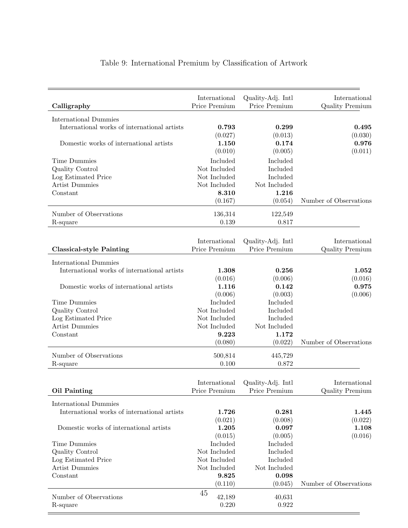| Calligraphy                                  | International<br>Price Premium | Quality-Adj. Intl<br>Price Premium | International<br><b>Quality Premium</b> |
|----------------------------------------------|--------------------------------|------------------------------------|-----------------------------------------|
| International Dummies                        |                                |                                    |                                         |
| International works of international artists | 0.793                          | 0.299                              | 0.495                                   |
|                                              | (0.027)                        | (0.013)                            | (0.030)                                 |
| Domestic works of international artists      | 1.150                          | 0.174                              | 0.976                                   |
|                                              | (0.010)                        | (0.005)                            | (0.011)                                 |
| Time Dummies                                 | Included                       | Included                           |                                         |
| Quality Control                              | Not Included                   | Included                           |                                         |
| Log Estimated Price                          | Not Included                   | Included                           |                                         |
| <b>Artist Dummies</b>                        | Not Included                   | Not Included                       |                                         |
| Constant                                     | 8.310                          | 1.216                              |                                         |
|                                              | (0.167)                        | (0.054)                            | Number of Observations                  |
| Number of Observations                       | 136,314                        | 122,549                            |                                         |
| R-square                                     | 0.139                          | 0.817                              |                                         |
|                                              |                                |                                    |                                         |
|                                              | International                  | Quality-Adj. Intl.                 | International                           |
| <b>Classical-style Painting</b>              | Price Premium                  | Price Premium                      | <b>Quality Premium</b>                  |
| <b>International Dummies</b>                 |                                |                                    |                                         |
| International works of international artists | 1.308                          | 0.256                              | 1.052                                   |
|                                              | (0.016)                        | (0.006)                            | (0.016)                                 |
| Domestic works of international artists      | 1.116                          | 0.142                              | 0.975                                   |
|                                              | (0.006)                        | (0.003)                            | (0.006)                                 |
| Time Dummies                                 | Included                       | Included                           |                                         |
| Quality Control                              | Not Included                   | Included                           |                                         |
| Log Estimated Price                          | Not Included                   | Included                           |                                         |
| <b>Artist Dummies</b>                        | Not Included                   | Not Included                       |                                         |
| Constant                                     | 9.223                          | 1.172                              |                                         |
|                                              | (0.080)                        | (0.022)                            | Number of Observations                  |
| Number of Observations                       | 500,814                        | 445,729                            |                                         |
| R-square                                     | 0.100                          | 0.872                              |                                         |
|                                              |                                |                                    |                                         |
|                                              |                                | International Quality-Adj. Intl    | International                           |
| <b>Oil Painting</b>                          | Price Premium                  | Price Premium                      | <b>Quality Premium</b>                  |
| <b>International Dummies</b>                 |                                |                                    |                                         |
| International works of international artists | 1.726                          | 0.281                              | 1.445                                   |
|                                              | (0.021)                        | (0.008)                            | (0.022)                                 |
| Domestic works of international artists      | 1.205                          | 0.097                              | 1.108                                   |
|                                              | (0.015)                        | (0.005)                            | (0.016)                                 |
| Time Dummies                                 | Included                       | Included                           |                                         |
| Quality Control                              | Not Included                   | Included                           |                                         |
| Log Estimated Price                          | Not Included                   | Included                           |                                         |
| <b>Artist Dummies</b>                        | Not Included                   | Not Included                       |                                         |
| Constant                                     | 9.825                          | 0.098                              |                                         |
|                                              | (0.110)                        | (0.045)                            | Number of Observations                  |
| Number of Observations                       | 45<br>42,189                   | 40,631                             |                                         |
| R-square                                     | 0.220                          | 0.922                              |                                         |
|                                              |                                |                                    |                                         |

## Table 9: International Premium by Classification of Artwork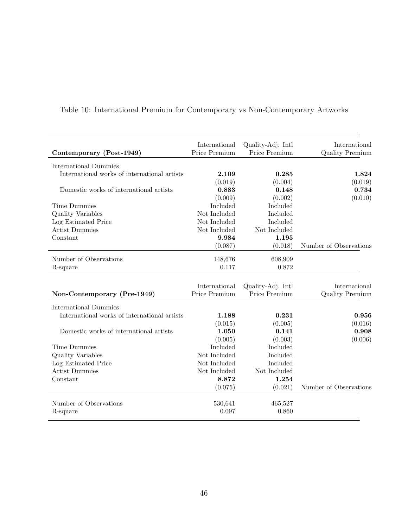| Contemporary (Post-1949)                     | International<br>Price Premium | Quality-Adj. Intl<br>Price Premium | International<br><b>Quality Premium</b> |
|----------------------------------------------|--------------------------------|------------------------------------|-----------------------------------------|
|                                              |                                |                                    |                                         |
| <b>International Dummies</b>                 |                                |                                    |                                         |
| International works of international artists | 2.109                          | 0.285                              | 1.824                                   |
|                                              | (0.019)                        | (0.004)                            | (0.019)                                 |
| Domestic works of international artists      | 0.883                          | 0.148                              | 0.734                                   |
|                                              | (0.009)                        | (0.002)                            | (0.010)                                 |
| Time Dummies                                 | Included                       | Included                           |                                         |
| <b>Quality Variables</b>                     | Not Included                   | Included                           |                                         |
| Log Estimated Price                          | Not Included                   | Included                           |                                         |
| <b>Artist Dummies</b>                        | Not Included                   | Not Included                       |                                         |
| Constant                                     | 9.984                          | 1.195                              |                                         |
|                                              | (0.087)                        | (0.018)                            | Number of Observations                  |
| Number of Observations                       | 148,676                        | 608,909                            |                                         |
| R-square                                     | 0.117                          | 0.872                              |                                         |
|                                              |                                |                                    |                                         |
|                                              | International                  | Quality-Adj. Intl                  | International                           |
| Non-Contemporary (Pre-1949)                  | Price Premium                  | Price Premium                      | Quality Premium                         |
| <b>International Dummies</b>                 |                                |                                    |                                         |
| International works of international artists | 1.188                          | 0.231                              | 0.956                                   |
|                                              | (0.015)                        | (0.005)                            | (0.016)                                 |
| Domestic works of international artists      | 1.050                          | 0.141                              | 0.908                                   |
|                                              | (0.005)                        | (0.003)                            | (0.006)                                 |
| Time Dummies                                 | Included                       | Included                           |                                         |
| Quality Variables                            | Not Included                   | Included                           |                                         |
| Log Estimated Price                          | Not Included                   | Included                           |                                         |
| <b>Artist Dummies</b>                        | Not Included                   | Not Included                       |                                         |
| Constant                                     | 8.872                          | 1.254                              |                                         |
|                                              | (0.075)                        | (0.021)                            | Number of Observations                  |
|                                              |                                |                                    |                                         |
| Number of Observations                       | 530,641                        | 465,527                            |                                         |
| R-square                                     | 0.097                          | 0.860                              |                                         |
|                                              |                                |                                    |                                         |

## Table 10: International Premium for Contemporary vs Non-Contemporary Artworks